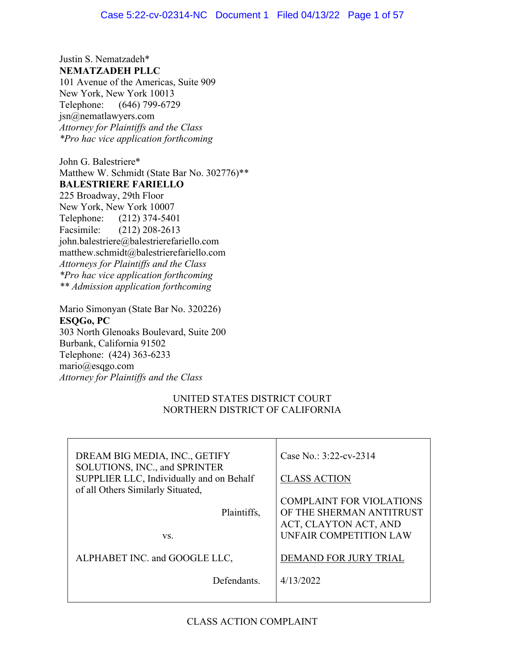Justin S. Nematzadeh\* **NEMATZADEH PLLC**

101 Avenue of the Americas, Suite 909 New York, New York 10013 Telephone: (646) 799-6729 jsn@nematlawyers.com *Attorney for Plaintiffs and the Class \*Pro hac vice application forthcoming*

John G. Balestriere\* Matthew W. Schmidt (State Bar No. 302776)\*\* **BALESTRIERE FARIELLO** 225 Broadway, 29th Floor New York, New York 10007 Telephone: (212) 374-5401 Facsimile: (212) 208-2613 john.balestriere@balestrierefariello.com matthew.schmidt@balestrierefariello.com *Attorneys for Plaintiffs and the Class \*Pro hac vice application forthcoming \*\* Admission application forthcoming*

Mario Simonyan (State Bar No. 320226) **ESQGo, PC** 303 North Glenoaks Boulevard, Suite 200 Burbank, California 91502 Telephone: (424) 363-6233 mario@esqgo.com *Attorney for Plaintiffs and the Class* 

# UNITED STATES DISTRICT COURT NORTHERN DISTRICT OF CALIFORNIA

| DREAM BIG MEDIA, INC., GETIFY                                             | Case No.: 3:22-cv-2314          |
|---------------------------------------------------------------------------|---------------------------------|
| SOLUTIONS, INC., and SPRINTER<br>SUPPLIER LLC, Individually and on Behalf | <b>CLASS ACTION</b>             |
| of all Others Similarly Situated,                                         |                                 |
|                                                                           | <b>COMPLAINT FOR VIOLATIONS</b> |
| Plaintiffs,                                                               | OF THE SHERMAN ANTITRUST        |
|                                                                           | ACT, CLAYTON ACT, AND           |
| VS.                                                                       | UNFAIR COMPETITION LAW          |
|                                                                           |                                 |
| ALPHABET INC. and GOOGLE LLC,                                             | <b>DEMAND FOR JURY TRIAL</b>    |
| Defendants.                                                               | 4/13/2022                       |
|                                                                           |                                 |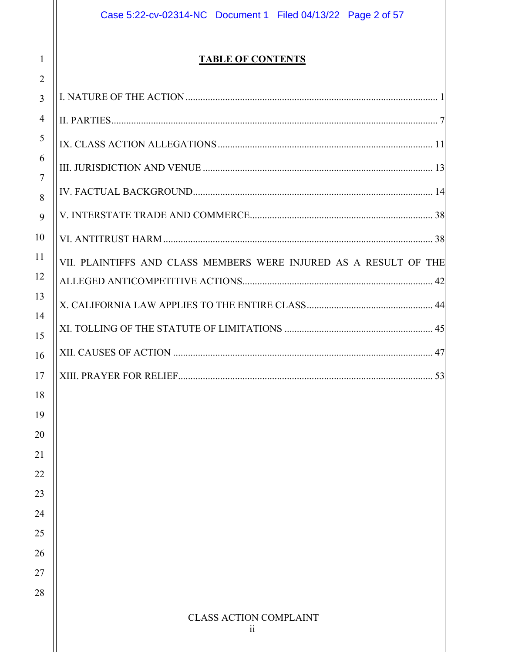# Case 5:22-cv-02314-NC Document 1 Filed 04/13/22 Page 2 of 57

# **TABLE OF CONTENTS**

1

| $\overline{2}$ |                                                                   |
|----------------|-------------------------------------------------------------------|
| $\overline{3}$ |                                                                   |
| $\overline{4}$ |                                                                   |
| 5              |                                                                   |
| 6              |                                                                   |
| $\overline{7}$ |                                                                   |
| 8              |                                                                   |
| 9              |                                                                   |
| 10             |                                                                   |
| 11             | VII. PLAINTIFFS AND CLASS MEMBERS WERE INJURED AS A RESULT OF THE |
| 12             |                                                                   |
| 13             |                                                                   |
| 14             |                                                                   |
| 15             |                                                                   |
| 16             |                                                                   |
| 17             |                                                                   |
| 18             |                                                                   |
| 19             |                                                                   |
| 20             |                                                                   |
| 21             |                                                                   |
| 22             |                                                                   |
| 23             |                                                                   |
| 24             |                                                                   |
| 25             |                                                                   |
| 26             |                                                                   |
| 27             |                                                                   |
| 28             |                                                                   |
|                | <b>CLASS ACTION COMPLAINT</b>                                     |
|                | $\overline{11}$                                                   |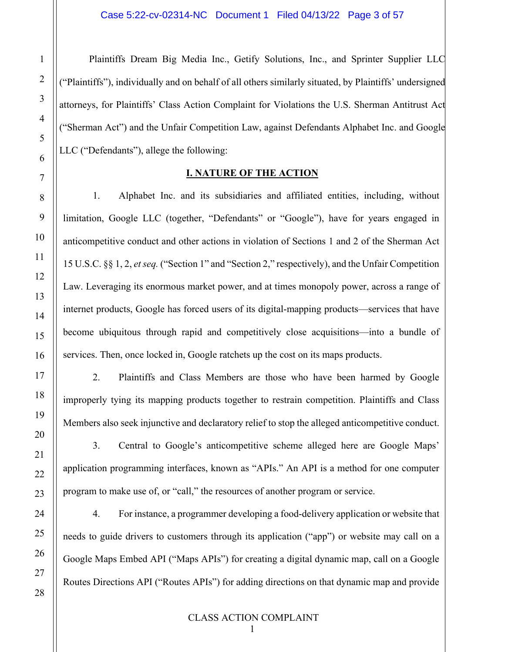Plaintiffs Dream Big Media Inc., Getify Solutions, Inc., and Sprinter Supplier LLC ("Plaintiffs"), individually and on behalf of all others similarly situated, by Plaintiffs' undersigned attorneys, for Plaintiffs' Class Action Complaint for Violations the U.S. Sherman Antitrust Act ("Sherman Act") and the Unfair Competition Law, against Defendants Alphabet Inc. and Google LLC ("Defendants"), allege the following:

#### **I. NATURE OF THE ACTION**

<span id="page-2-0"></span>1. Alphabet Inc. and its subsidiaries and affiliated entities, including, without limitation, Google LLC (together, "Defendants" or "Google"), have for years engaged in anticompetitive conduct and other actions in violation of Sections 1 and 2 of the Sherman Act 15 U.S.C. §§ 1, 2, *et seq.* ("Section 1" and "Section 2," respectively), and the Unfair Competition Law. Leveraging its enormous market power, and at times monopoly power, across a range of internet products, Google has forced users of its digital-mapping products—services that have become ubiquitous through rapid and competitively close acquisitions—into a bundle of services. Then, once locked in, Google ratchets up the cost on its maps products.

2. Plaintiffs and Class Members are those who have been harmed by Google improperly tying its mapping products together to restrain competition. Plaintiffs and Class Members also seek injunctive and declaratory relief to stop the alleged anticompetitive conduct.

3. Central to Google's anticompetitive scheme alleged here are Google Maps' application programming interfaces, known as "APIs." An API is a method for one computer program to make use of, or "call," the resources of another program or service.

4. For instance, a programmer developing a food-delivery application or website that needs to guide drivers to customers through its application ("app") or website may call on a Google Maps Embed API ("Maps APIs") for creating a digital dynamic map, call on a Google Routes Directions API ("Routes APIs") for adding directions on that dynamic map and provide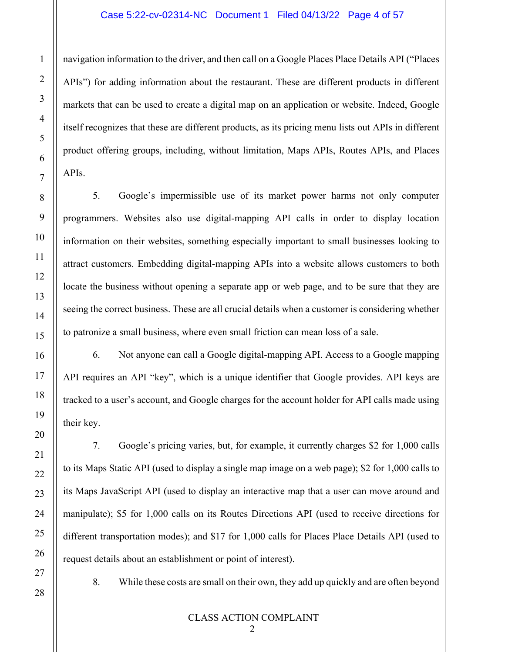#### Case 5:22-cv-02314-NC Document 1 Filed 04/13/22 Page 4 of 57

navigation information to the driver, and then call on a Google Places Place Details API ("Places APIs") for adding information about the restaurant. These are different products in different markets that can be used to create a digital map on an application or website. Indeed, Google itself recognizes that these are different products, as its pricing menu lists out APIs in different product offering groups, including, without limitation, Maps APIs, Routes APIs, and Places APIs.

5. Google's impermissible use of its market power harms not only computer programmers. Websites also use digital-mapping API calls in order to display location information on their websites, something especially important to small businesses looking to attract customers. Embedding digital-mapping APIs into a website allows customers to both locate the business without opening a separate app or web page, and to be sure that they are seeing the correct business. These are all crucial details when a customer is considering whether to patronize a small business, where even small friction can mean loss of a sale.

6. Not anyone can call a Google digital-mapping API. Access to a Google mapping API requires an API "key", which is a unique identifier that Google provides. API keys are tracked to a user's account, and Google charges for the account holder for API calls made using their key.

7. Google's pricing varies, but, for example, it currently charges \$2 for 1,000 calls to its Maps Static API (used to display a single map image on a web page); \$2 for 1,000 calls to its Maps JavaScript API (used to display an interactive map that a user can move around and manipulate); \$5 for 1,000 calls on its Routes Directions API (used to receive directions for different transportation modes); and \$17 for 1,000 calls for Places Place Details API (used to request details about an establishment or point of interest).

1

2

3

4

5

6

7

8

9

10

11

12

13

14

15

16

17

18

19

20

21

22

23

24

25

26

27

28

8. While these costs are small on their own, they add up quickly and are often beyond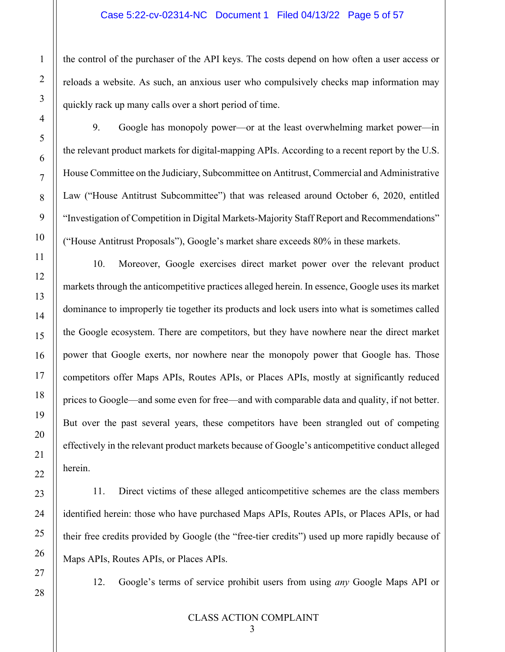#### Case 5:22-cv-02314-NC Document 1 Filed 04/13/22 Page 5 of 57

the control of the purchaser of the API keys. The costs depend on how often a user access or reloads a website. As such, an anxious user who compulsively checks map information may quickly rack up many calls over a short period of time.

9. Google has monopoly power—or at the least overwhelming market power—in the relevant product markets for digital-mapping APIs. According to a recent report by the U.S. House Committee on the Judiciary, Subcommittee on Antitrust, Commercial and Administrative Law ("House Antitrust Subcommittee") that was released around October 6, 2020, entitled "Investigation of Competition in Digital Markets-Majority Staff Report and Recommendations" ("House Antitrust Proposals"), Google's market share exceeds 80% in these markets.

10. Moreover, Google exercises direct market power over the relevant product markets through the anticompetitive practices alleged herein. In essence, Google uses its market dominance to improperly tie together its products and lock users into what is sometimes called the Google ecosystem. There are competitors, but they have nowhere near the direct market power that Google exerts, nor nowhere near the monopoly power that Google has. Those competitors offer Maps APIs, Routes APIs, or Places APIs, mostly at significantly reduced prices to Google—and some even for free—and with comparable data and quality, if not better. But over the past several years, these competitors have been strangled out of competing effectively in the relevant product markets because of Google's anticompetitive conduct alleged herein.

11. Direct victims of these alleged anticompetitive schemes are the class members identified herein: those who have purchased Maps APIs, Routes APIs, or Places APIs, or had their free credits provided by Google (the "free-tier credits") used up more rapidly because of Maps APIs, Routes APIs, or Places APIs.

1

2

3

4

5

6

7

8

9

10

11

12

13

14

15

16

17

18

19

20

21

22

23

24

25

26

27

28

12. Google's terms of service prohibit users from using *any* Google Maps API or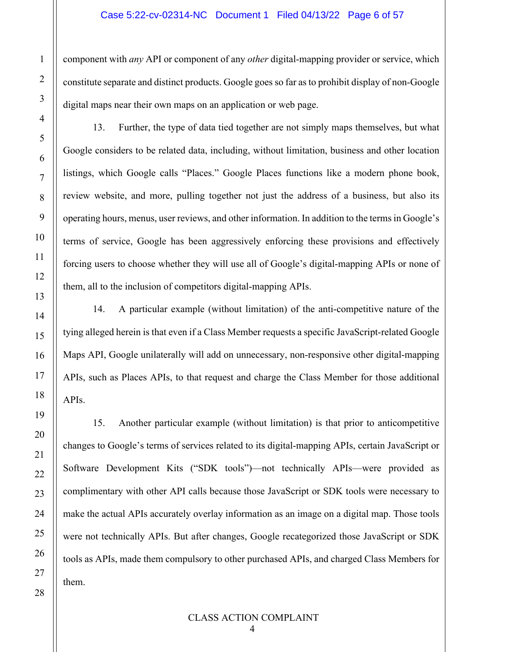component with *any* API or component of any *other* digital-mapping provider or service, which constitute separate and distinct products. Google goes so far as to prohibit display of non-Google digital maps near their own maps on an application or web page.

13. Further, the type of data tied together are not simply maps themselves, but what Google considers to be related data, including, without limitation, business and other location listings, which Google calls "Places." Google Places functions like a modern phone book, review website, and more, pulling together not just the address of a business, but also its operating hours, menus, user reviews, and other information. In addition to the terms in Google's terms of service, Google has been aggressively enforcing these provisions and effectively forcing users to choose whether they will use all of Google's digital-mapping APIs or none of them, all to the inclusion of competitors digital-mapping APIs.

14. A particular example (without limitation) of the anti-competitive nature of the tying alleged herein is that even if a Class Member requests a specific JavaScript-related Google Maps API, Google unilaterally will add on unnecessary, non-responsive other digital-mapping APIs, such as Places APIs, to that request and charge the Class Member for those additional APIs.

15. Another particular example (without limitation) is that prior to anticompetitive changes to Google's terms of services related to its digital-mapping APIs, certain JavaScript or Software Development Kits ("SDK tools")—not technically APIs—were provided as complimentary with other API calls because those JavaScript or SDK tools were necessary to make the actual APIs accurately overlay information as an image on a digital map. Those tools were not technically APIs. But after changes, Google recategorized those JavaScript or SDK tools as APIs, made them compulsory to other purchased APIs, and charged Class Members for them.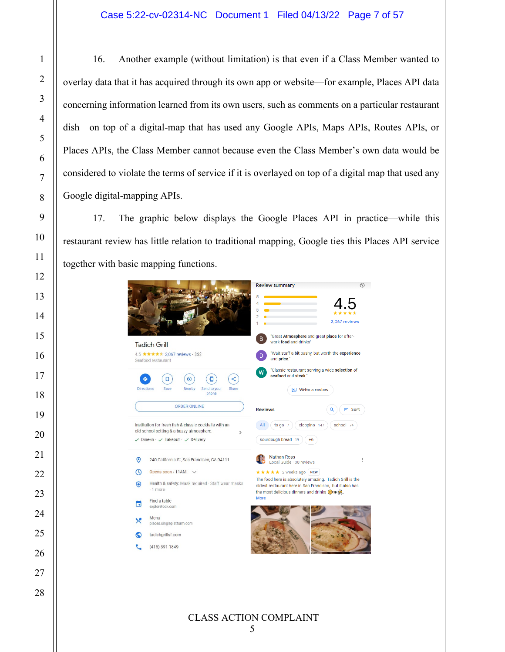16. Another example (without limitation) is that even if a Class Member wanted to overlay data that it has acquired through its own app or website—for example, Places API data concerning information learned from its own users, such as comments on a particular restaurant dish—on top of a digital-map that has used any Google APIs, Maps APIs, Routes APIs, or Places APIs, the Class Member cannot because even the Class Member's own data would be considered to violate the terms of service if it is overlayed on top of a digital map that used any Google digital-mapping APIs.

17. The graphic below displays the Google Places API in practice—while this restaurant review has little relation to traditional mapping, Google ties this Places API service together with basic mapping functions.

|            | <b>Tadich Grill</b>                                                                                                                                    | <b>Review summary</b><br>5<br>л<br>3<br>$\overline{\mathcal{L}}$<br>B.<br>work food and drinks"                                                                                            | 2.067 reviews<br>"Great Atmosphere and great place for after-                                        |
|------------|--------------------------------------------------------------------------------------------------------------------------------------------------------|--------------------------------------------------------------------------------------------------------------------------------------------------------------------------------------------|------------------------------------------------------------------------------------------------------|
|            | 4.5 ★★★★ 2,067 reviews · \$\$\$<br>Seafood restaurant                                                                                                  | D<br>and price."<br>W                                                                                                                                                                      | "Wait staff a bit pushy, but worth the experience<br>"Classic restaurant serving a wide selection of |
|            | $\circledcirc$<br>⊡<br><b>Directions</b><br>Save<br>Nearby<br>Send to your<br>Share<br>phone                                                           | seafood and steak."<br>Write a review                                                                                                                                                      |                                                                                                      |
|            | <b>ORDER ONLINE</b>                                                                                                                                    | <b>Reviews</b>                                                                                                                                                                             | $\equiv$ Sort                                                                                        |
|            | Institution for fresh fish & classic cocktails with an                                                                                                 | cioppino 147<br>All<br>to go $7$                                                                                                                                                           | school 74                                                                                            |
|            | old-school setting & a buzzy atmosphere.<br>$\mathcal{E}$<br>$\checkmark$ Dine-in $\checkmark$ $\checkmark$ Takeout $\checkmark$ $\checkmark$ Delivery | sourdough bread 19<br>$+6$                                                                                                                                                                 |                                                                                                      |
| $\odot$    | 240 California St, San Francisco, CA 94111                                                                                                             | <b>Nathan Ross</b><br>Local Guide · 38 reviews                                                                                                                                             |                                                                                                      |
| $\circ$    | Opens soon - 11AM<br>$\check{ }$                                                                                                                       | ★★★★★ 2 weeks ago NEW                                                                                                                                                                      |                                                                                                      |
| $\bigcirc$ | Health & safety: Mask required · Staff wear masks<br>$\cdot$ 1 more                                                                                    | The food here is absolutely amazing. Tadich Grill is the<br>oldest restaurant here in San Francisco, but it also has<br>the most delicious dinners and drinks $\bigcirc$ is $\mathbb{R}$ . |                                                                                                      |
| Б          | Find a table<br>exploretock.com                                                                                                                        | <b>More</b>                                                                                                                                                                                |                                                                                                      |
| X          | Menu<br>places.singleplatform.com                                                                                                                      |                                                                                                                                                                                            |                                                                                                      |
| ⊙          | tadichgrillsf.com                                                                                                                                      |                                                                                                                                                                                            |                                                                                                      |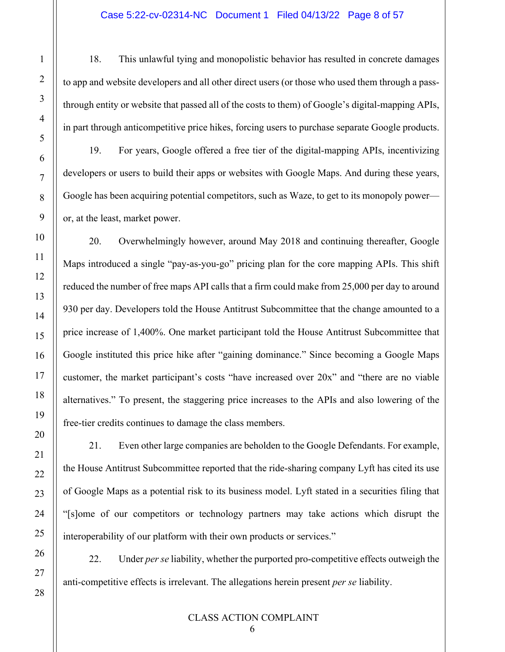18. This unlawful tying and monopolistic behavior has resulted in concrete damages to app and website developers and all other direct users (or those who used them through a passthrough entity or website that passed all of the costs to them) of Google's digital-mapping APIs, in part through anticompetitive price hikes, forcing users to purchase separate Google products.

19. For years, Google offered a free tier of the digital-mapping APIs, incentivizing developers or users to build their apps or websites with Google Maps. And during these years, Google has been acquiring potential competitors, such as Waze, to get to its monopoly power or, at the least, market power.

20. Overwhelmingly however, around May 2018 and continuing thereafter, Google Maps introduced a single "pay-as-you-go" pricing plan for the core mapping APIs. This shift reduced the number of free maps API calls that a firm could make from 25,000 per day to around 930 per day. Developers told the House Antitrust Subcommittee that the change amounted to a price increase of 1,400%. One market participant told the House Antitrust Subcommittee that Google instituted this price hike after "gaining dominance." Since becoming a Google Maps customer, the market participant's costs "have increased over 20x" and "there are no viable alternatives." To present, the staggering price increases to the APIs and also lowering of the free-tier credits continues to damage the class members.

21. Even other large companies are beholden to the Google Defendants. For example, the House Antitrust Subcommittee reported that the ride-sharing company Lyft has cited its use of Google Maps as a potential risk to its business model. Lyft stated in a securities filing that "[s]ome of our competitors or technology partners may take actions which disrupt the interoperability of our platform with their own products or services."

22. Under *per se* liability, whether the purported pro-competitive effects outweigh the anti-competitive effects is irrelevant. The allegations herein present *per se* liability.

#### CLASS ACTION COMPLAINT

1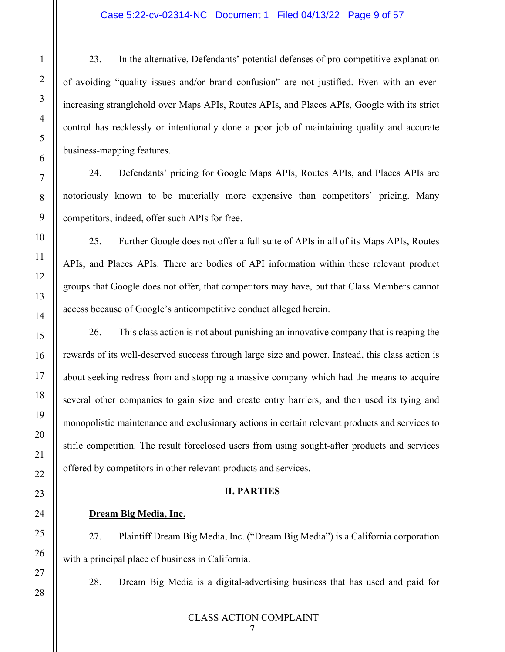23. In the alternative, Defendants' potential defenses of pro-competitive explanation of avoiding "quality issues and/or brand confusion" are not justified. Even with an everincreasing stranglehold over Maps APIs, Routes APIs, and Places APIs, Google with its strict control has recklessly or intentionally done a poor job of maintaining quality and accurate business-mapping features.

24. Defendants' pricing for Google Maps APIs, Routes APIs, and Places APIs are notoriously known to be materially more expensive than competitors' pricing. Many competitors, indeed, offer such APIs for free.

25. Further Google does not offer a full suite of APIs in all of its Maps APIs, Routes APIs, and Places APIs. There are bodies of API information within these relevant product groups that Google does not offer, that competitors may have, but that Class Members cannot access because of Google's anticompetitive conduct alleged herein.

26. This class action is not about punishing an innovative company that is reaping the rewards of its well-deserved success through large size and power. Instead, this class action is about seeking redress from and stopping a massive company which had the means to acquire several other companies to gain size and create entry barriers, and then used its tying and monopolistic maintenance and exclusionary actions in certain relevant products and services to stifle competition. The result foreclosed users from using sought-after products and services offered by competitors in other relevant products and services.

## **II. PARTIES**

#### **Dream Big Media, Inc.**

1

2

3

4

5

6

7

8

9

10

11

12

13

14

15

16

17

18

19

20

21

22

<span id="page-8-0"></span>23

24

25

26

27

28

27. Plaintiff Dream Big Media, Inc. ("Dream Big Media") is a California corporation with a principal place of business in California.

28. Dream Big Media is a digital-advertising business that has used and paid for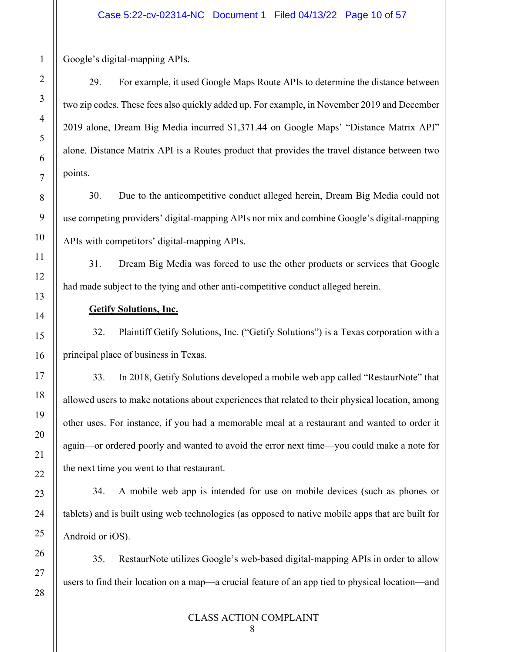Google's digital-mapping APIs.

29. For example, it used Google Maps Route APIs to determine the distance between two zip codes. These fees also quickly added up. For example, in November 2019 and December 2019 alone, Dream Big Media incurred \$1,371.44 on Google Maps' "Distance Matrix API" alone. Distance Matrix API is a Routes product that provides the travel distance between two points.

30. Due to the anticompetitive conduct alleged herein, Dream Big Media could not use competing providers' digital-mapping APIs nor mix and combine Google's digital-mapping APIs with competitors' digital-mapping APIs.

31. Dream Big Media was forced to use the other products or services that Google had made subject to the tying and other anti-competitive conduct alleged herein.

## **Getify Solutions, Inc.**

32. Plaintiff Getify Solutions, Inc. ("Getify Solutions") is a Texas corporation with a principal place of business in Texas.

33. In 2018, Getify Solutions developed a mobile web app called "RestaurNote" that allowed users to make notations about experiences that related to their physical location, among other uses. For instance, if you had a memorable meal at a restaurant and wanted to order it again—or ordered poorly and wanted to avoid the error next time—you could make a note for the next time you went to that restaurant.

34. A mobile web app is intended for use on mobile devices (such as phones or tablets) and is built using web technologies (as opposed to native mobile apps that are built for Android or iOS).

35. RestaurNote utilizes Google's web-based digital-mapping APIs in order to allow users to find their location on a map—a crucial feature of an app tied to physical location—and

#### CLASS ACTION COMPLAINT

1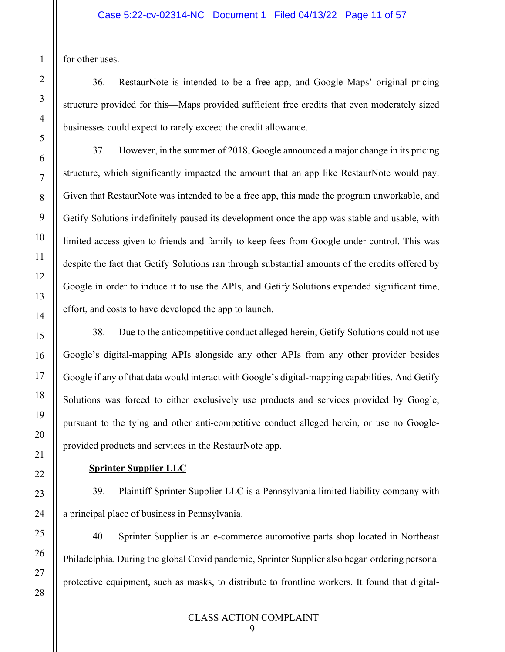for other uses.

36. RestaurNote is intended to be a free app, and Google Maps' original pricing structure provided for this—Maps provided sufficient free credits that even moderately sized businesses could expect to rarely exceed the credit allowance.

37. However, in the summer of 2018, Google announced a major change in its pricing structure, which significantly impacted the amount that an app like RestaurNote would pay. Given that RestaurNote was intended to be a free app, this made the program unworkable, and Getify Solutions indefinitely paused its development once the app was stable and usable, with limited access given to friends and family to keep fees from Google under control. This was despite the fact that Getify Solutions ran through substantial amounts of the credits offered by Google in order to induce it to use the APIs, and Getify Solutions expended significant time, effort, and costs to have developed the app to launch.

38. Due to the anticompetitive conduct alleged herein, Getify Solutions could not use Google's digital-mapping APIs alongside any other APIs from any other provider besides Google if any of that data would interact with Google's digital-mapping capabilities. And Getify Solutions was forced to either exclusively use products and services provided by Google, pursuant to the tying and other anti-competitive conduct alleged herein, or use no Googleprovided products and services in the RestaurNote app.

#### **Sprinter Supplier LLC**

39. Plaintiff Sprinter Supplier LLC is a Pennsylvania limited liability company with a principal place of business in Pennsylvania.

40. Sprinter Supplier is an e-commerce automotive parts shop located in Northeast Philadelphia. During the global Covid pandemic, Sprinter Supplier also began ordering personal protective equipment, such as masks, to distribute to frontline workers. It found that digital-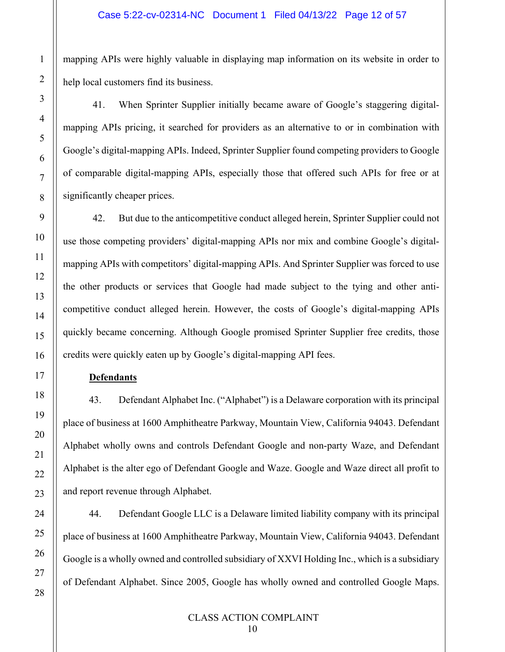mapping APIs were highly valuable in displaying map information on its website in order to help local customers find its business.

41. When Sprinter Supplier initially became aware of Google's staggering digitalmapping APIs pricing, it searched for providers as an alternative to or in combination with Google's digital-mapping APIs. Indeed, Sprinter Supplier found competing providers to Google of comparable digital-mapping APIs, especially those that offered such APIs for free or at significantly cheaper prices.

42. But due to the anticompetitive conduct alleged herein, Sprinter Supplier could not use those competing providers' digital-mapping APIs nor mix and combine Google's digitalmapping APIs with competitors' digital-mapping APIs. And Sprinter Supplier was forced to use the other products or services that Google had made subject to the tying and other anticompetitive conduct alleged herein. However, the costs of Google's digital-mapping APIs quickly became concerning. Although Google promised Sprinter Supplier free credits, those credits were quickly eaten up by Google's digital-mapping API fees.

## **Defendants**

43. Defendant Alphabet Inc. ("Alphabet") is a Delaware corporation with its principal place of business at 1600 Amphitheatre Parkway, Mountain View, California 94043. Defendant Alphabet wholly owns and controls Defendant Google and non-party Waze, and Defendant Alphabet is the alter ego of Defendant Google and Waze. Google and Waze direct all profit to and report revenue through Alphabet.

44. Defendant Google LLC is a Delaware limited liability company with its principal place of business at 1600 Amphitheatre Parkway, Mountain View, California 94043. Defendant Google is a wholly owned and controlled subsidiary of XXVI Holding Inc., which is a subsidiary of Defendant Alphabet. Since 2005, Google has wholly owned and controlled Google Maps.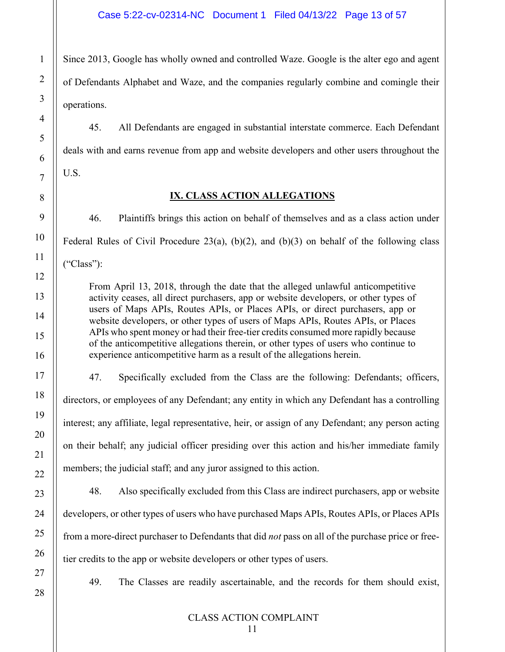Since 2013, Google has wholly owned and controlled Waze. Google is the alter ego and agent of Defendants Alphabet and Waze, and the companies regularly combine and comingle their operations.

45. All Defendants are engaged in substantial interstate commerce. Each Defendant deals with and earns revenue from app and website developers and other users throughout the U.S.

# **IX. CLASS ACTION ALLEGATIONS**

<span id="page-12-0"></span>46. Plaintiffs brings this action on behalf of themselves and as a class action under Federal Rules of Civil Procedure 23(a), (b)(2), and (b)(3) on behalf of the following class ("Class"):

From April 13, 2018, through the date that the alleged unlawful anticompetitive activity ceases, all direct purchasers, app or website developers, or other types of users of Maps APIs, Routes APIs, or Places APIs, or direct purchasers, app or website developers, or other types of users of Maps APIs, Routes APIs, or Places APIs who spent money or had their free-tier credits consumed more rapidly because of the anticompetitive allegations therein, or other types of users who continue to experience anticompetitive harm as a result of the allegations herein.

47. Specifically excluded from the Class are the following: Defendants; officers, directors, or employees of any Defendant; any entity in which any Defendant has a controlling interest; any affiliate, legal representative, heir, or assign of any Defendant; any person acting on their behalf; any judicial officer presiding over this action and his/her immediate family members; the judicial staff; and any juror assigned to this action.

48. Also specifically excluded from this Class are indirect purchasers, app or website developers, or other types of users who have purchased Maps APIs, Routes APIs, or Places APIs from a more-direct purchaser to Defendants that did *not* pass on all of the purchase price or freetier credits to the app or website developers or other types of users.

49. The Classes are readily ascertainable, and the records for them should exist,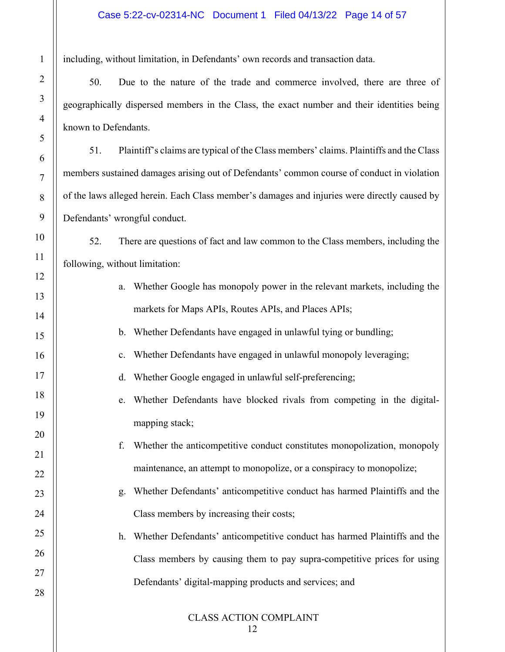including, without limitation, in Defendants' own records and transaction data.

50. Due to the nature of the trade and commerce involved, there are three of geographically dispersed members in the Class, the exact number and their identities being known to Defendants.

51. Plaintiff's claims are typical of the Class members' claims. Plaintiffs and the Class members sustained damages arising out of Defendants' common course of conduct in violation of the laws alleged herein. Each Class member's damages and injuries were directly caused by Defendants' wrongful conduct.

52. There are questions of fact and law common to the Class members, including the following, without limitation:

- a. Whether Google has monopoly power in the relevant markets, including the markets for Maps APIs, Routes APIs, and Places APIs;
- b. Whether Defendants have engaged in unlawful tying or bundling;
- c. Whether Defendants have engaged in unlawful monopoly leveraging;
- d. Whether Google engaged in unlawful self-preferencing;
- e. Whether Defendants have blocked rivals from competing in the digitalmapping stack;
- f. Whether the anticompetitive conduct constitutes monopolization, monopoly maintenance, an attempt to monopolize, or a conspiracy to monopolize;
- g. Whether Defendants' anticompetitive conduct has harmed Plaintiffs and the Class members by increasing their costs;
	- h. Whether Defendants' anticompetitive conduct has harmed Plaintiffs and the Class members by causing them to pay supra-competitive prices for using Defendants' digital-mapping products and services; and

CLASS ACTION COMPLAINT

1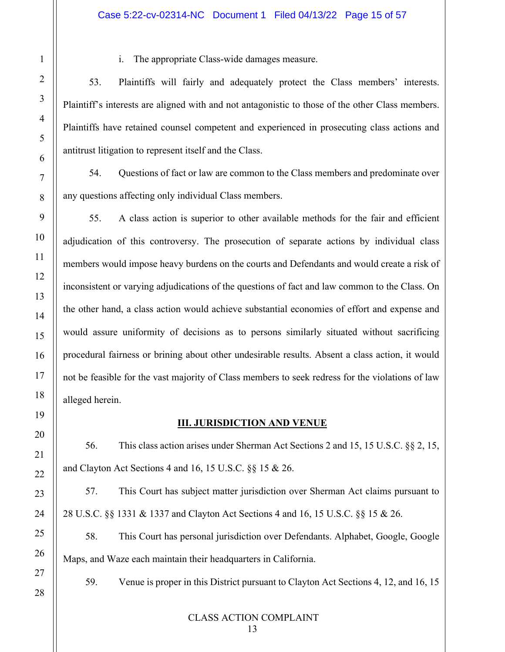i. The appropriate Class-wide damages measure.

53. Plaintiffs will fairly and adequately protect the Class members' interests. Plaintiff's interests are aligned with and not antagonistic to those of the other Class members. Plaintiffs have retained counsel competent and experienced in prosecuting class actions and antitrust litigation to represent itself and the Class.

54. Questions of fact or law are common to the Class members and predominate over any questions affecting only individual Class members.

55. A class action is superior to other available methods for the fair and efficient adjudication of this controversy. The prosecution of separate actions by individual class members would impose heavy burdens on the courts and Defendants and would create a risk of inconsistent or varying adjudications of the questions of fact and law common to the Class. On the other hand, a class action would achieve substantial economies of effort and expense and would assure uniformity of decisions as to persons similarly situated without sacrificing procedural fairness or brining about other undesirable results. Absent a class action, it would not be feasible for the vast majority of Class members to seek redress for the violations of law alleged herein.

## **III. JURISDICTION AND VENUE**

<span id="page-14-0"></span>56. This class action arises under Sherman Act Sections 2 and 15, 15 U.S.C. §§ 2, 15, and Clayton Act Sections 4 and 16, 15 U.S.C. §§ 15 & 26.

57. This Court has subject matter jurisdiction over Sherman Act claims pursuant to 28 U.S.C. §§ 1331 & 1337 and Clayton Act Sections 4 and 16, 15 U.S.C. §§ 15 & 26.

58. This Court has personal jurisdiction over Defendants. Alphabet, Google, Google Maps, and Waze each maintain their headquarters in California.

59. Venue is proper in this District pursuant to Clayton Act Sections 4, 12, and 16, 15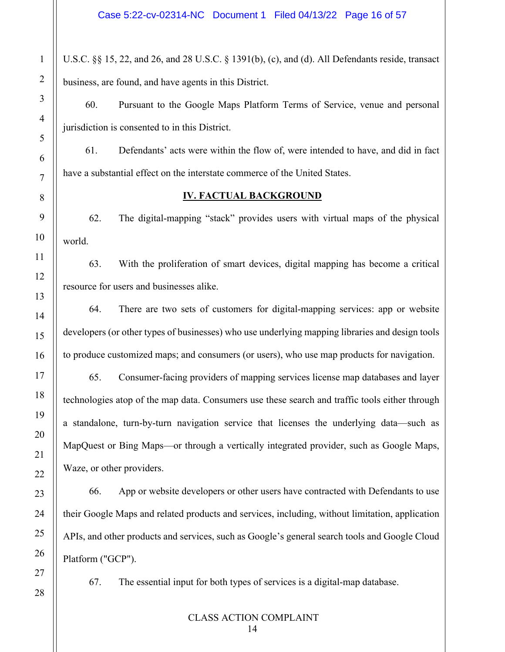U.S.C. §§ 15, 22, and 26, and 28 U.S.C. § 1391(b), (c), and (d). All Defendants reside, transact business, are found, and have agents in this District.

60. Pursuant to the Google Maps Platform Terms of Service, venue and personal jurisdiction is consented to in this District.

61. Defendants' acts were within the flow of, were intended to have, and did in fact have a substantial effect on the interstate commerce of the United States.

## **IV. FACTUAL BACKGROUND**

<span id="page-15-0"></span>62. The digital-mapping "stack" provides users with virtual maps of the physical world.

63. With the proliferation of smart devices, digital mapping has become a critical resource for users and businesses alike.

64. There are two sets of customers for digital-mapping services: app or website developers (or other types of businesses) who use underlying mapping libraries and design tools to produce customized maps; and consumers (or users), who use map products for navigation.

65. Consumer-facing providers of mapping services license map databases and layer technologies atop of the map data. Consumers use these search and traffic tools either through a standalone, turn-by-turn navigation service that licenses the underlying data—such as MapQuest or Bing Maps—or through a vertically integrated provider, such as Google Maps, Waze, or other providers.

66. App or website developers or other users have contracted with Defendants to use their Google Maps and related products and services, including, without limitation, application APIs, and other products and services, such as Google's general search tools and Google Cloud Platform ("GCP").

67. The essential input for both types of services is a digital-map database.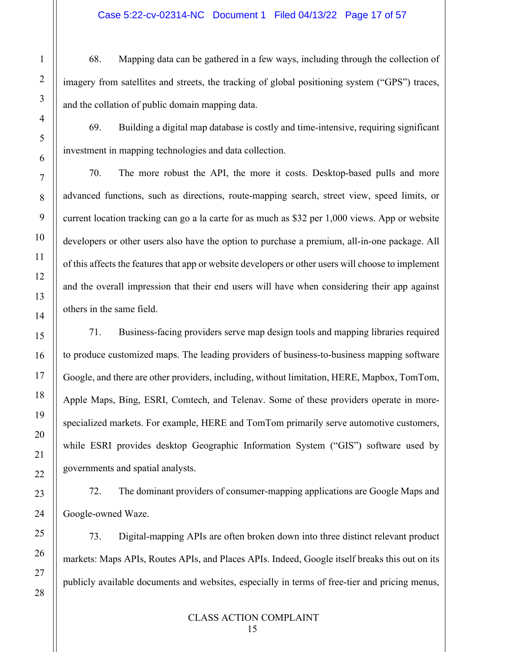#### Case 5:22-cv-02314-NC Document 1 Filed 04/13/22 Page 17 of 57

68. Mapping data can be gathered in a few ways, including through the collection of imagery from satellites and streets, the tracking of global positioning system ("GPS") traces, and the collation of public domain mapping data.

69. Building a digital map database is costly and time-intensive, requiring significant investment in mapping technologies and data collection.

70. The more robust the API, the more it costs. Desktop-based pulls and more advanced functions, such as directions, route-mapping search, street view, speed limits, or current location tracking can go a la carte for as much as \$32 per 1,000 views. App or website developers or other users also have the option to purchase a premium, all-in-one package. All of this affects the features that app or website developers or other users will choose to implement and the overall impression that their end users will have when considering their app against others in the same field.

71. Business-facing providers serve map design tools and mapping libraries required to produce customized maps. The leading providers of business-to-business mapping software Google, and there are other providers, including, without limitation, HERE, Mapbox, TomTom, Apple Maps, Bing, ESRI, Comtech, and Telenav. Some of these providers operate in morespecialized markets. For example, HERE and TomTom primarily serve automotive customers, while ESRI provides desktop Geographic Information System ("GIS") software used by governments and spatial analysts.

72. The dominant providers of consumer-mapping applications are Google Maps and Google-owned Waze.

73. Digital-mapping APIs are often broken down into three distinct relevant product markets: Maps APIs, Routes APIs, and Places APIs. Indeed, Google itself breaks this out on its publicly available documents and websites, especially in terms of free-tier and pricing menus,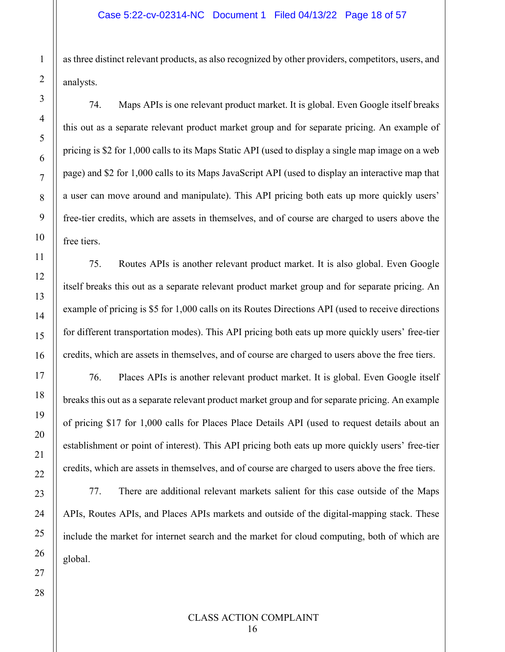as three distinct relevant products, as also recognized by other providers, competitors, users, and analysts.

74. Maps APIs is one relevant product market. It is global. Even Google itself breaks this out as a separate relevant product market group and for separate pricing. An example of pricing is \$2 for 1,000 calls to its Maps Static API (used to display a single map image on a web page) and \$2 for 1,000 calls to its Maps JavaScript API (used to display an interactive map that a user can move around and manipulate). This API pricing both eats up more quickly users' free-tier credits, which are assets in themselves, and of course are charged to users above the free tiers.

75. Routes APIs is another relevant product market. It is also global. Even Google itself breaks this out as a separate relevant product market group and for separate pricing. An example of pricing is \$5 for 1,000 calls on its Routes Directions API (used to receive directions for different transportation modes). This API pricing both eats up more quickly users' free-tier credits, which are assets in themselves, and of course are charged to users above the free tiers.

76. Places APIs is another relevant product market. It is global. Even Google itself breaks this out as a separate relevant product market group and for separate pricing. An example of pricing \$17 for 1,000 calls for Places Place Details API (used to request details about an establishment or point of interest). This API pricing both eats up more quickly users' free-tier credits, which are assets in themselves, and of course are charged to users above the free tiers.

77. There are additional relevant markets salient for this case outside of the Maps APIs, Routes APIs, and Places APIs markets and outside of the digital-mapping stack. These include the market for internet search and the market for cloud computing, both of which are global.

1

2

3

4

5

6

7

8

9

10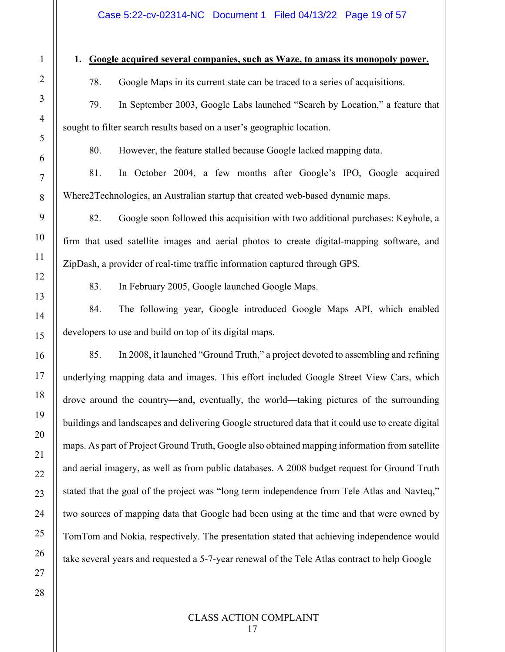#### **1. Google acquired several companies, such as Waze, to amass its monopoly power.**

78. Google Maps in its current state can be traced to a series of acquisitions.

79. In September 2003, Google Labs launched "Search by Location," a feature that sought to filter search results based on a user's geographic location.

80. However, the feature stalled because Google lacked mapping data.

81. In October 2004, a few months after Google's IPO, Google acquired Where2Technologies, an Australian startup that created web-based dynamic maps.

82. Google soon followed this acquisition with two additional purchases: Keyhole, a firm that used satellite images and aerial photos to create digital-mapping software, and ZipDash, a provider of real-time traffic information captured through GPS.

83. In February 2005, Google launched Google Maps.

84. The following year, Google introduced Google Maps API, which enabled developers to use and build on top of its digital maps.

85. In 2008, it launched "Ground Truth," a project devoted to assembling and refining underlying mapping data and images. This effort included Google Street View Cars, which drove around the country—and, eventually, the world—taking pictures of the surrounding buildings and landscapes and delivering Google structured data that it could use to create digital maps. As part of Project Ground Truth, Google also obtained mapping information from satellite and aerial imagery, as well as from public databases. A 2008 budget request for Ground Truth stated that the goal of the project was "long term independence from Tele Atlas and Navteq," two sources of mapping data that Google had been using at the time and that were owned by TomTom and Nokia, respectively. The presentation stated that achieving independence would take several years and requested a 5-7-year renewal of the Tele Atlas contract to help Google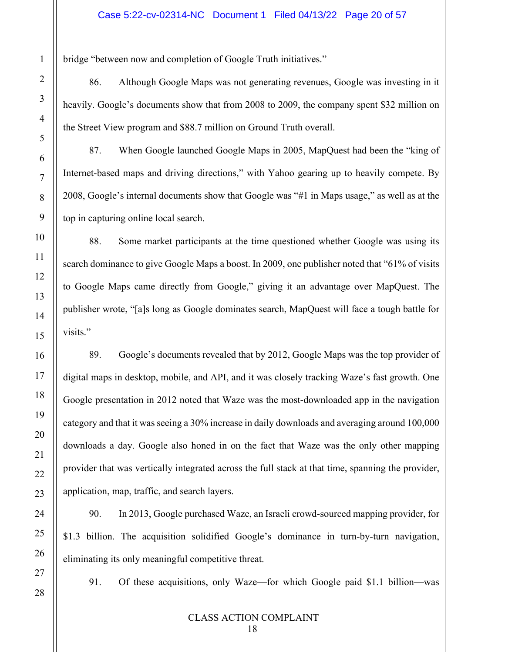bridge "between now and completion of Google Truth initiatives."

86. Although Google Maps was not generating revenues, Google was investing in it heavily. Google's documents show that from 2008 to 2009, the company spent \$32 million on the Street View program and \$88.7 million on Ground Truth overall.

87. When Google launched Google Maps in 2005, MapQuest had been the "king of Internet-based maps and driving directions," with Yahoo gearing up to heavily compete. By 2008, Google's internal documents show that Google was "#1 in Maps usage," as well as at the top in capturing online local search.

88. Some market participants at the time questioned whether Google was using its search dominance to give Google Maps a boost. In 2009, one publisher noted that "61% of visits to Google Maps came directly from Google," giving it an advantage over MapQuest. The publisher wrote, "[a]s long as Google dominates search, MapQuest will face a tough battle for visits."

89. Google's documents revealed that by 2012, Google Maps was the top provider of digital maps in desktop, mobile, and API, and it was closely tracking Waze's fast growth. One Google presentation in 2012 noted that Waze was the most-downloaded app in the navigation category and that it was seeing a 30% increase in daily downloads and averaging around 100,000 downloads a day. Google also honed in on the fact that Waze was the only other mapping provider that was vertically integrated across the full stack at that time, spanning the provider, application, map, traffic, and search layers.

90. In 2013, Google purchased Waze, an Israeli crowd-sourced mapping provider, for \$1.3 billion. The acquisition solidified Google's dominance in turn-by-turn navigation, eliminating its only meaningful competitive threat.

91. Of these acquisitions, only Waze—for which Google paid \$1.1 billion—was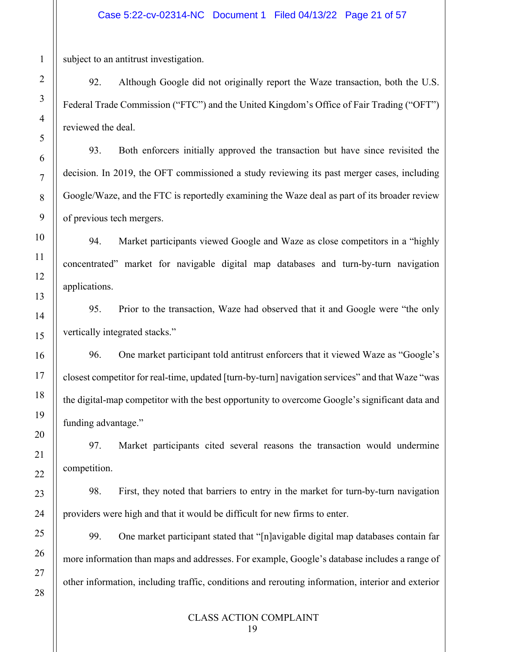subject to an antitrust investigation.

92. Although Google did not originally report the Waze transaction, both the U.S. Federal Trade Commission ("FTC") and the United Kingdom's Office of Fair Trading ("OFT") reviewed the deal.

93. Both enforcers initially approved the transaction but have since revisited the decision. In 2019, the OFT commissioned a study reviewing its past merger cases, including Google/Waze, and the FTC is reportedly examining the Waze deal as part of its broader review of previous tech mergers.

94. Market participants viewed Google and Waze as close competitors in a "highly concentrated" market for navigable digital map databases and turn-by-turn navigation applications.

95. Prior to the transaction, Waze had observed that it and Google were "the only vertically integrated stacks."

96. One market participant told antitrust enforcers that it viewed Waze as "Google's closest competitor for real-time, updated [turn-by-turn] navigation services" and that Waze "was the digital-map competitor with the best opportunity to overcome Google's significant data and funding advantage."

97. Market participants cited several reasons the transaction would undermine competition.

98. First, they noted that barriers to entry in the market for turn-by-turn navigation providers were high and that it would be difficult for new firms to enter.

99. One market participant stated that "[n]avigable digital map databases contain far more information than maps and addresses. For example, Google's database includes a range of other information, including traffic, conditions and rerouting information, interior and exterior

1

2

3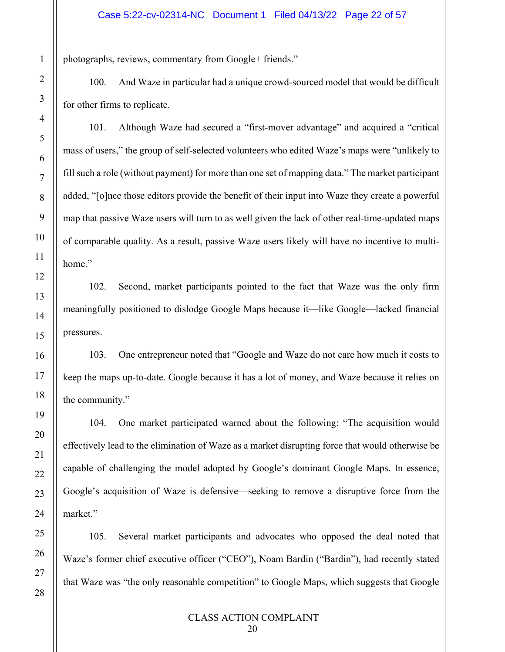photographs, reviews, commentary from Google+ friends."

100. And Waze in particular had a unique crowd-sourced model that would be difficult for other firms to replicate.

101. Although Waze had secured a "first-mover advantage" and acquired a "critical mass of users," the group of self-selected volunteers who edited Waze's maps were "unlikely to fill such a role (without payment) for more than one set of mapping data." The market participant added, "[o]nce those editors provide the benefit of their input into Waze they create a powerful map that passive Waze users will turn to as well given the lack of other real-time-updated maps of comparable quality. As a result, passive Waze users likely will have no incentive to multihome."

102. Second, market participants pointed to the fact that Waze was the only firm meaningfully positioned to dislodge Google Maps because it—like Google—lacked financial pressures.

103. One entrepreneur noted that "Google and Waze do not care how much it costs to keep the maps up-to-date. Google because it has a lot of money, and Waze because it relies on the community."

104. One market participated warned about the following: "The acquisition would effectively lead to the elimination of Waze as a market disrupting force that would otherwise be capable of challenging the model adopted by Google's dominant Google Maps. In essence, Google's acquisition of Waze is defensive—seeking to remove a disruptive force from the market."

105. Several market participants and advocates who opposed the deal noted that Waze's former chief executive officer ("CEO"), Noam Bardin ("Bardin"), had recently stated that Waze was "the only reasonable competition" to Google Maps, which suggests that Google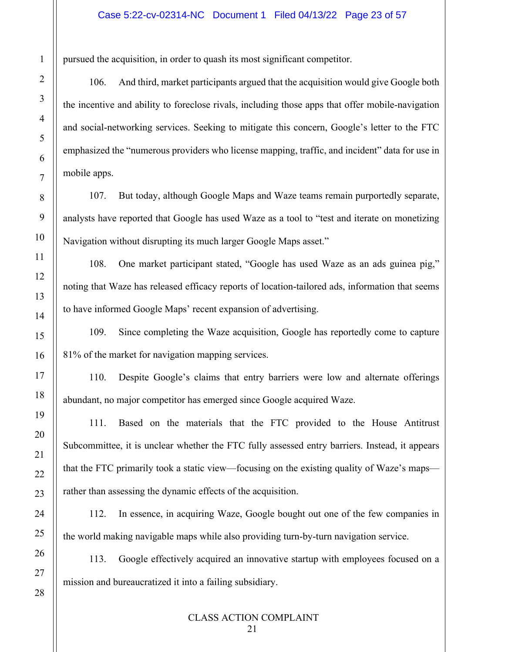pursued the acquisition, in order to quash its most significant competitor.

106. And third, market participants argued that the acquisition would give Google both the incentive and ability to foreclose rivals, including those apps that offer mobile-navigation and social-networking services. Seeking to mitigate this concern, Google's letter to the FTC emphasized the "numerous providers who license mapping, traffic, and incident" data for use in mobile apps.

107. But today, although Google Maps and Waze teams remain purportedly separate, analysts have reported that Google has used Waze as a tool to "test and iterate on monetizing Navigation without disrupting its much larger Google Maps asset."

108. One market participant stated, "Google has used Waze as an ads guinea pig," noting that Waze has released efficacy reports of location-tailored ads, information that seems to have informed Google Maps' recent expansion of advertising.

109. Since completing the Waze acquisition, Google has reportedly come to capture 81% of the market for navigation mapping services.

110. Despite Google's claims that entry barriers were low and alternate offerings abundant, no major competitor has emerged since Google acquired Waze.

111. Based on the materials that the FTC provided to the House Antitrust Subcommittee, it is unclear whether the FTC fully assessed entry barriers. Instead, it appears that the FTC primarily took a static view—focusing on the existing quality of Waze's maps rather than assessing the dynamic effects of the acquisition.

112. In essence, in acquiring Waze, Google bought out one of the few companies in the world making navigable maps while also providing turn-by-turn navigation service.

113. Google effectively acquired an innovative startup with employees focused on a mission and bureaucratized it into a failing subsidiary.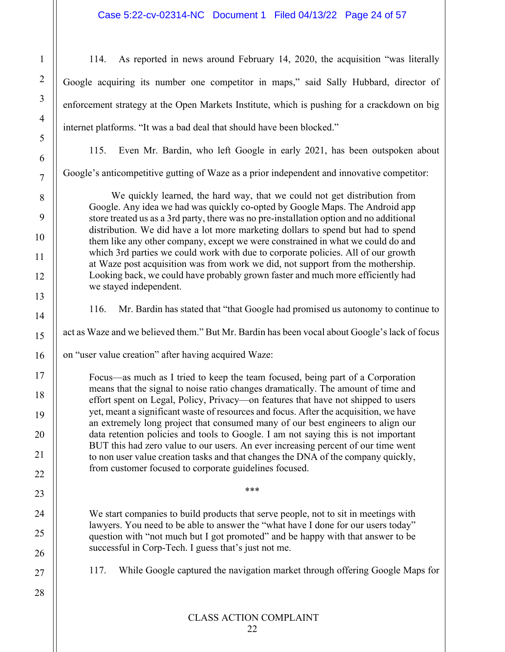## Case 5:22-cv-02314-NC Document 1 Filed 04/13/22 Page 24 of 57

114. As reported in news around February 14, 2020, the acquisition "was literally Google acquiring its number one competitor in maps," said Sally Hubbard, director of enforcement strategy at the Open Markets Institute, which is pushing for a crackdown on big internet platforms. "It was a bad deal that should have been blocked."

115. Even Mr. Bardin, who left Google in early 2021, has been outspoken about

Google's anticompetitive gutting of Waze as a prior independent and innovative competitor:

We quickly learned, the hard way, that we could not get distribution from Google. Any idea we had was quickly co-opted by Google Maps. The Android app store treated us as a 3rd party, there was no pre-installation option and no additional distribution. We did have a lot more marketing dollars to spend but had to spend them like any other company, except we were constrained in what we could do and which 3rd parties we could work with due to corporate policies. All of our growth at Waze post acquisition was from work we did, not support from the mothership. Looking back, we could have probably grown faster and much more efficiently had we stayed independent.

116. Mr. Bardin has stated that "that Google had promised us autonomy to continue to

act as Waze and we believed them." But Mr. Bardin has been vocal about Google's lack of focus

on "user value creation" after having acquired Waze:

Focus—as much as I tried to keep the team focused, being part of a Corporation means that the signal to noise ratio changes dramatically. The amount of time and effort spent on Legal, Policy, Privacy—on features that have not shipped to users yet, meant a significant waste of resources and focus. After the acquisition, we have an extremely long project that consumed many of our best engineers to align our data retention policies and tools to Google. I am not saying this is not important BUT this had zero value to our users. An ever increasing percent of our time went to non user value creation tasks and that changes the DNA of the company quickly, from customer focused to corporate guidelines focused.

We start companies to build products that serve people, not to sit in meetings with lawyers. You need to be able to answer the "what have I done for our users today" question with "not much but I got promoted" and be happy with that answer to be successful in Corp-Tech. I guess that's just not me.

\*\*\*

117. While Google captured the navigation market through offering Google Maps for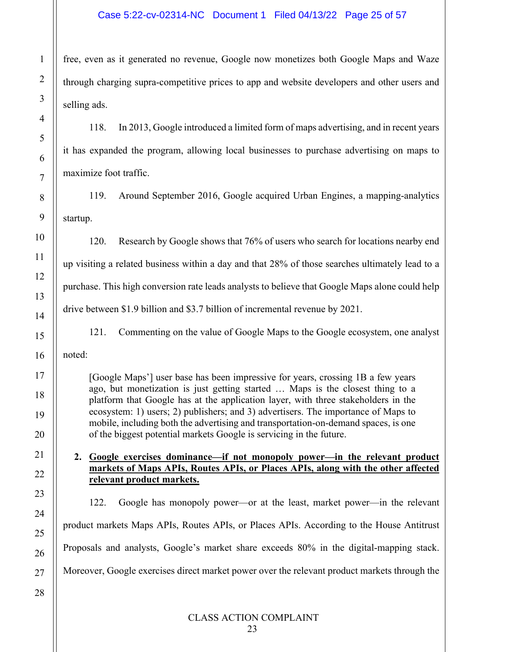free, even as it generated no revenue, Google now monetizes both Google Maps and Waze through charging supra-competitive prices to app and website developers and other users and selling ads.

118. In 2013, Google introduced a limited form of maps advertising, and in recent years it has expanded the program, allowing local businesses to purchase advertising on maps to maximize foot traffic.

119. Around September 2016, Google acquired Urban Engines, a mapping-analytics startup.

120. Research by Google shows that 76% of users who search for locations nearby end up visiting a related business within a day and that 28% of those searches ultimately lead to a purchase. This high conversion rate leads analysts to believe that Google Maps alone could help drive between \$1.9 billion and \$3.7 billion of incremental revenue by 2021.

121. Commenting on the value of Google Maps to the Google ecosystem, one analyst

noted:

[Google Maps'] user base has been impressive for years, crossing 1B a few years ago, but monetization is just getting started … Maps is the closest thing to a platform that Google has at the application layer, with three stakeholders in the ecosystem: 1) users; 2) publishers; and 3) advertisers. The importance of Maps to mobile, including both the advertising and transportation-on-demand spaces, is one of the biggest potential markets Google is servicing in the future.

**2. Google exercises dominance—if not monopoly power—in the relevant product markets of Maps APIs, Routes APIs, or Places APIs, along with the other affected relevant product markets.**

122. Google has monopoly power—or at the least, market power—in the relevant product markets Maps APIs, Routes APIs, or Places APIs. According to the House Antitrust Proposals and analysts, Google's market share exceeds 80% in the digital-mapping stack. Moreover, Google exercises direct market power over the relevant product markets through the

1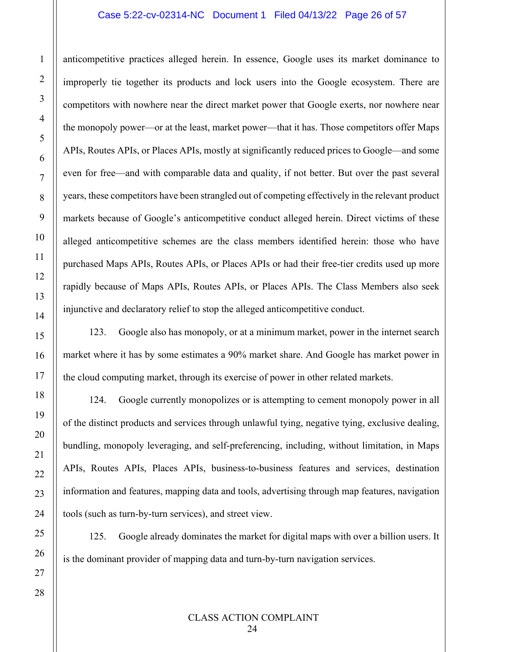## Case 5:22-cv-02314-NC Document 1 Filed 04/13/22 Page 26 of 57

anticompetitive practices alleged herein. In essence, Google uses its market dominance to improperly tie together its products and lock users into the Google ecosystem. There are competitors with nowhere near the direct market power that Google exerts, nor nowhere near the monopoly power—or at the least, market power—that it has. Those competitors offer Maps APIs, Routes APIs, or Places APIs, mostly at significantly reduced prices to Google—and some even for free—and with comparable data and quality, if not better. But over the past several years, these competitors have been strangled out of competing effectively in the relevant product markets because of Google's anticompetitive conduct alleged herein. Direct victims of these alleged anticompetitive schemes are the class members identified herein: those who have purchased Maps APIs, Routes APIs, or Places APIs or had their free-tier credits used up more rapidly because of Maps APIs, Routes APIs, or Places APIs. The Class Members also seek injunctive and declaratory relief to stop the alleged anticompetitive conduct.

123. Google also has monopoly, or at a minimum market, power in the internet search market where it has by some estimates a 90% market share. And Google has market power in the cloud computing market, through its exercise of power in other related markets.

124. Google currently monopolizes or is attempting to cement monopoly power in all of the distinct products and services through unlawful tying, negative tying, exclusive dealing, bundling, monopoly leveraging, and self-preferencing, including, without limitation, in Maps APIs, Routes APIs, Places APIs, business-to-business features and services, destination information and features, mapping data and tools, advertising through map features, navigation tools (such as turn-by-turn services), and street view.

125. Google already dominates the market for digital maps with over a billion users. It is the dominant provider of mapping data and turn-by-turn navigation services.

24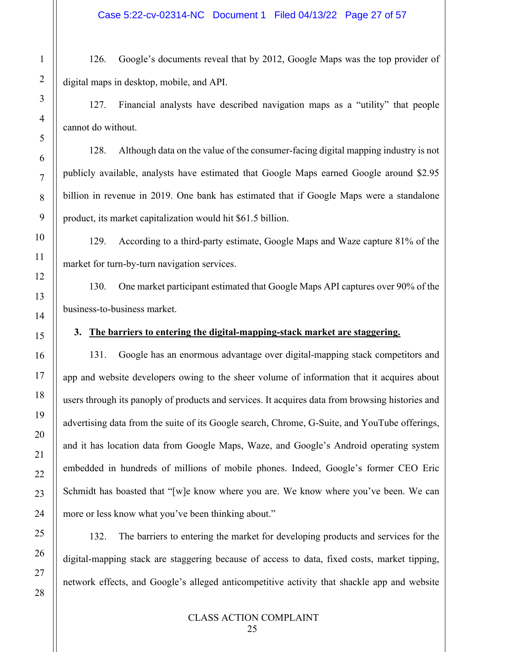126. Google's documents reveal that by 2012, Google Maps was the top provider of digital maps in desktop, mobile, and API.

127. Financial analysts have described navigation maps as a "utility" that people cannot do without.

128. Although data on the value of the consumer-facing digital mapping industry is not publicly available, analysts have estimated that Google Maps earned Google around \$2.95 billion in revenue in 2019. One bank has estimated that if Google Maps were a standalone product, its market capitalization would hit \$61.5 billion.

129. According to a third-party estimate, Google Maps and Waze capture 81% of the market for turn-by-turn navigation services.

130. One market participant estimated that Google Maps API captures over 90% of the business-to-business market.

## **3. The barriers to entering the digital-mapping-stack market are staggering.**

131. Google has an enormous advantage over digital-mapping stack competitors and app and website developers owing to the sheer volume of information that it acquires about users through its panoply of products and services. It acquires data from browsing histories and advertising data from the suite of its Google search, Chrome, G-Suite, and YouTube offerings, and it has location data from Google Maps, Waze, and Google's Android operating system embedded in hundreds of millions of mobile phones. Indeed, Google's former CEO Eric Schmidt has boasted that "[w]e know where you are. We know where you've been. We can more or less know what you've been thinking about."

132. The barriers to entering the market for developing products and services for the digital-mapping stack are staggering because of access to data, fixed costs, market tipping, network effects, and Google's alleged anticompetitive activity that shackle app and website

1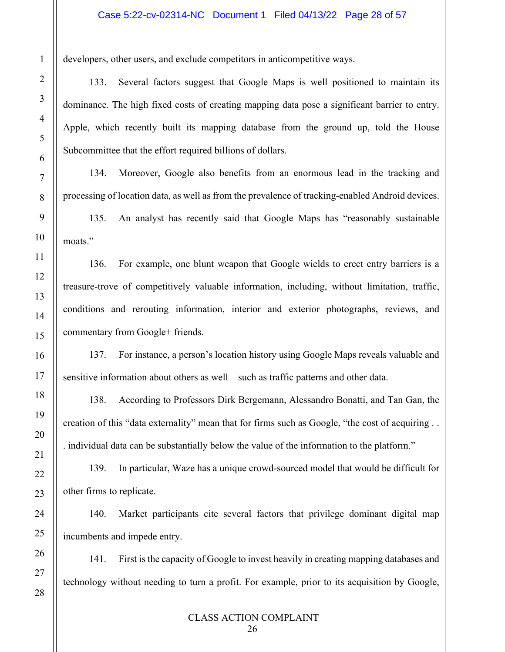developers, other users, and exclude competitors in anticompetitive ways.

1

2

3

4

5

6

7

8

9

10

11

12

13

14

15

16

17

18

19

20

21

22

23

24

25

26

27

28

133. Several factors suggest that Google Maps is well positioned to maintain its dominance. The high fixed costs of creating mapping data pose a significant barrier to entry. Apple, which recently built its mapping database from the ground up, told the House Subcommittee that the effort required billions of dollars.

134. Moreover, Google also benefits from an enormous lead in the tracking and processing of location data, as well as from the prevalence of tracking-enabled Android devices.

135. An analyst has recently said that Google Maps has "reasonably sustainable moats."

136. For example, one blunt weapon that Google wields to erect entry barriers is a treasure-trove of competitively valuable information, including, without limitation, traffic, conditions and rerouting information, interior and exterior photographs, reviews, and commentary from Google+ friends.

137. For instance, a person's location history using Google Maps reveals valuable and sensitive information about others as well—such as traffic patterns and other data.

138. According to Professors Dirk Bergemann, Alessandro Bonatti, and Tan Gan, the creation of this "data externality" mean that for firms such as Google, "the cost of acquiring . . . individual data can be substantially below the value of the information to the platform."

139. In particular, Waze has a unique crowd-sourced model that would be difficult for other firms to replicate.

140. Market participants cite several factors that privilege dominant digital map incumbents and impede entry.

141. First is the capacity of Google to invest heavily in creating mapping databases and technology without needing to turn a profit. For example, prior to its acquisition by Google,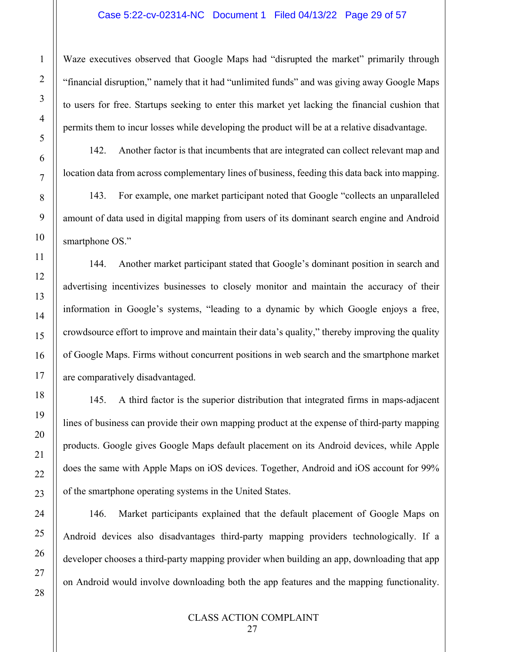Waze executives observed that Google Maps had "disrupted the market" primarily through "financial disruption," namely that it had "unlimited funds" and was giving away Google Maps to users for free. Startups seeking to enter this market yet lacking the financial cushion that permits them to incur losses while developing the product will be at a relative disadvantage.

142. Another factor is that incumbents that are integrated can collect relevant map and location data from across complementary lines of business, feeding this data back into mapping.

143. For example, one market participant noted that Google "collects an unparalleled amount of data used in digital mapping from users of its dominant search engine and Android smartphone OS."

144. Another market participant stated that Google's dominant position in search and advertising incentivizes businesses to closely monitor and maintain the accuracy of their information in Google's systems, "leading to a dynamic by which Google enjoys a free, crowdsource effort to improve and maintain their data's quality," thereby improving the quality of Google Maps. Firms without concurrent positions in web search and the smartphone market are comparatively disadvantaged.

145. A third factor is the superior distribution that integrated firms in maps-adjacent lines of business can provide their own mapping product at the expense of third-party mapping products. Google gives Google Maps default placement on its Android devices, while Apple does the same with Apple Maps on iOS devices. Together, Android and iOS account for 99% of the smartphone operating systems in the United States.

146. Market participants explained that the default placement of Google Maps on Android devices also disadvantages third-party mapping providers technologically. If a developer chooses a third-party mapping provider when building an app, downloading that app on Android would involve downloading both the app features and the mapping functionality.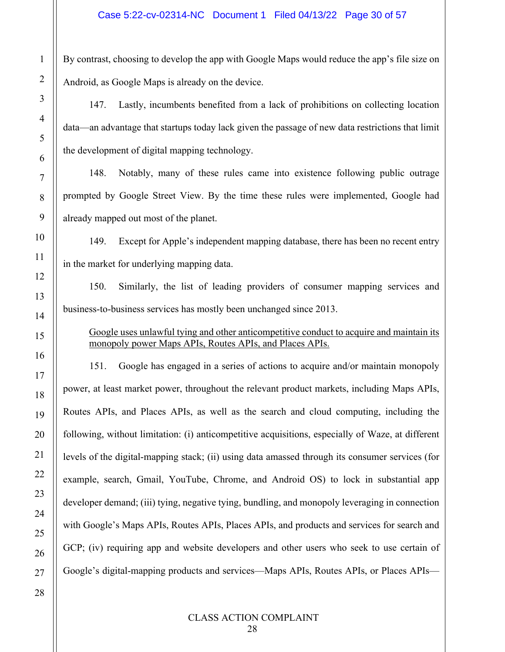By contrast, choosing to develop the app with Google Maps would reduce the app's file size on Android, as Google Maps is already on the device.

147. Lastly, incumbents benefited from a lack of prohibitions on collecting location data—an advantage that startups today lack given the passage of new data restrictions that limit the development of digital mapping technology.

148. Notably, many of these rules came into existence following public outrage prompted by Google Street View. By the time these rules were implemented, Google had already mapped out most of the planet.

149. Except for Apple's independent mapping database, there has been no recent entry in the market for underlying mapping data.

150. Similarly, the list of leading providers of consumer mapping services and business-to-business services has mostly been unchanged since 2013.

# Google uses unlawful tying and other anticompetitive conduct to acquire and maintain its monopoly power Maps APIs, Routes APIs, and Places APIs.

151. Google has engaged in a series of actions to acquire and/or maintain monopoly power, at least market power, throughout the relevant product markets, including Maps APIs, Routes APIs, and Places APIs, as well as the search and cloud computing, including the following, without limitation: (i) anticompetitive acquisitions, especially of Waze, at different levels of the digital-mapping stack; (ii) using data amassed through its consumer services (for example, search, Gmail, YouTube, Chrome, and Android OS) to lock in substantial app developer demand; (iii) tying, negative tying, bundling, and monopoly leveraging in connection with Google's Maps APIs, Routes APIs, Places APIs, and products and services for search and GCP; (iv) requiring app and website developers and other users who seek to use certain of Google's digital-mapping products and services—Maps APIs, Routes APIs, or Places APIs—

1

2

3

4

5

6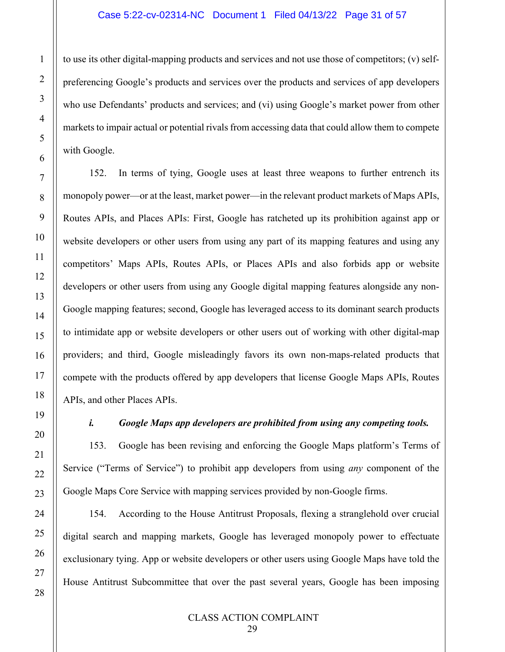to use its other digital-mapping products and services and not use those of competitors; (v) selfpreferencing Google's products and services over the products and services of app developers who use Defendants' products and services; and (vi) using Google's market power from other markets to impair actual or potential rivals from accessing data that could allow them to compete with Google.

152. In terms of tying, Google uses at least three weapons to further entrench its monopoly power—or at the least, market power—in the relevant product markets of Maps APIs, Routes APIs, and Places APIs: First, Google has ratcheted up its prohibition against app or website developers or other users from using any part of its mapping features and using any competitors' Maps APIs, Routes APIs, or Places APIs and also forbids app or website developers or other users from using any Google digital mapping features alongside any non-Google mapping features; second, Google has leveraged access to its dominant search products to intimidate app or website developers or other users out of working with other digital-map providers; and third, Google misleadingly favors its own non-maps-related products that compete with the products offered by app developers that license Google Maps APIs, Routes APIs, and other Places APIs.

# *i. Google Maps app developers are prohibited from using any competing tools.*

153. Google has been revising and enforcing the Google Maps platform's Terms of Service ("Terms of Service") to prohibit app developers from using *any* component of the Google Maps Core Service with mapping services provided by non-Google firms.

154. According to the House Antitrust Proposals, flexing a stranglehold over crucial digital search and mapping markets, Google has leveraged monopoly power to effectuate exclusionary tying. App or website developers or other users using Google Maps have told the House Antitrust Subcommittee that over the past several years, Google has been imposing

1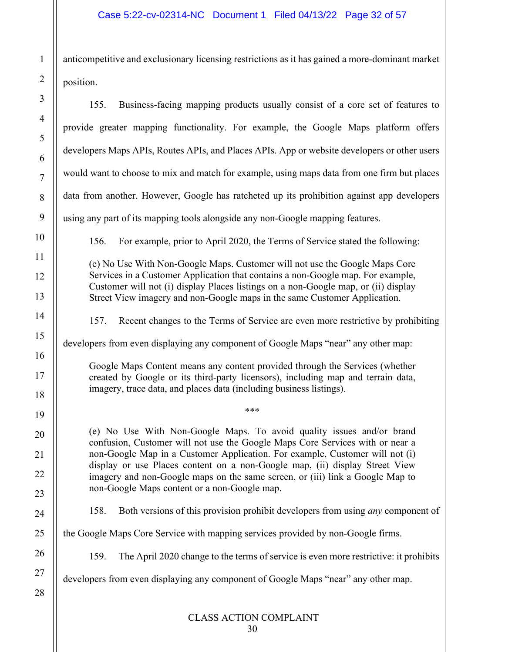anticompetitive and exclusionary licensing restrictions as it has gained a more-dominant market position.

| Business-facing mapping products usually consist of a core set of features to<br>155.                                                                                                                                                                                                                                                                                                                                                                  |
|--------------------------------------------------------------------------------------------------------------------------------------------------------------------------------------------------------------------------------------------------------------------------------------------------------------------------------------------------------------------------------------------------------------------------------------------------------|
| provide greater mapping functionality. For example, the Google Maps platform offers                                                                                                                                                                                                                                                                                                                                                                    |
| developers Maps APIs, Routes APIs, and Places APIs. App or website developers or other users                                                                                                                                                                                                                                                                                                                                                           |
| would want to choose to mix and match for example, using maps data from one firm but places                                                                                                                                                                                                                                                                                                                                                            |
| data from another. However, Google has ratcheted up its prohibition against app developers                                                                                                                                                                                                                                                                                                                                                             |
| using any part of its mapping tools alongside any non-Google mapping features.                                                                                                                                                                                                                                                                                                                                                                         |
| 156.<br>For example, prior to April 2020, the Terms of Service stated the following:                                                                                                                                                                                                                                                                                                                                                                   |
| (e) No Use With Non-Google Maps. Customer will not use the Google Maps Core<br>Services in a Customer Application that contains a non-Google map. For example,<br>Customer will not (i) display Places listings on a non-Google map, or (ii) display<br>Street View imagery and non-Google maps in the same Customer Application.                                                                                                                      |
| Recent changes to the Terms of Service are even more restrictive by prohibiting<br>157.                                                                                                                                                                                                                                                                                                                                                                |
| developers from even displaying any component of Google Maps "near" any other map:                                                                                                                                                                                                                                                                                                                                                                     |
| Google Maps Content means any content provided through the Services (whether<br>created by Google or its third-party licensors), including map and terrain data,<br>imagery, trace data, and places data (including business listings).                                                                                                                                                                                                                |
| ***                                                                                                                                                                                                                                                                                                                                                                                                                                                    |
| (e) No Use With Non-Google Maps. To avoid quality issues and/or brand<br>confusion, Customer will not use the Google Maps Core Services with or near a<br>non-Google Map in a Customer Application. For example, Customer will not (i)<br>display or use Places content on a non-Google map, (ii) display Street View<br>imagery and non-Google maps on the same screen, or (iii) link a Google Map to<br>non-Google Maps content or a non-Google map. |
| Both versions of this provision prohibit developers from using <i>any</i> component of<br>158.                                                                                                                                                                                                                                                                                                                                                         |
| the Google Maps Core Service with mapping services provided by non-Google firms.                                                                                                                                                                                                                                                                                                                                                                       |
| The April 2020 change to the terms of service is even more restrictive: it prohibits<br>159.                                                                                                                                                                                                                                                                                                                                                           |
| developers from even displaying any component of Google Maps "near" any other map.                                                                                                                                                                                                                                                                                                                                                                     |
| <b>CLASS ACTION COMPLAINT</b>                                                                                                                                                                                                                                                                                                                                                                                                                          |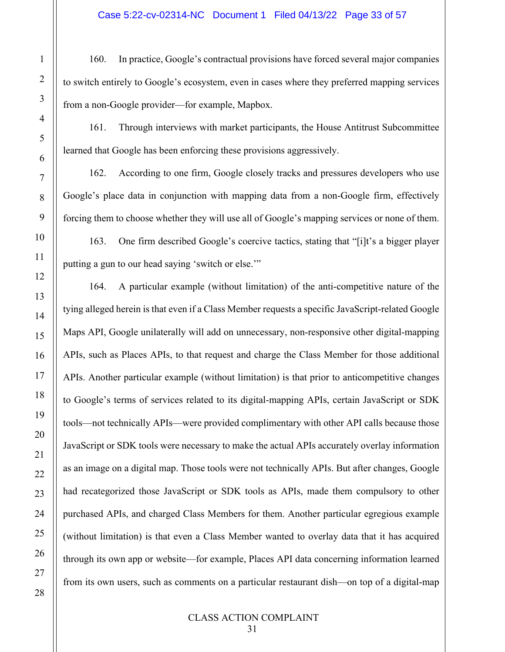160. In practice, Google's contractual provisions have forced several major companies to switch entirely to Google's ecosystem, even in cases where they preferred mapping services from a non-Google provider—for example, Mapbox.

161. Through interviews with market participants, the House Antitrust Subcommittee learned that Google has been enforcing these provisions aggressively.

162. According to one firm, Google closely tracks and pressures developers who use Google's place data in conjunction with mapping data from a non-Google firm, effectively forcing them to choose whether they will use all of Google's mapping services or none of them.

163. One firm described Google's coercive tactics, stating that "[i]t's a bigger player putting a gun to our head saying 'switch or else.'"

164. A particular example (without limitation) of the anti-competitive nature of the tying alleged herein is that even if a Class Member requests a specific JavaScript-related Google Maps API, Google unilaterally will add on unnecessary, non-responsive other digital-mapping APIs, such as Places APIs, to that request and charge the Class Member for those additional APIs. Another particular example (without limitation) is that prior to anticompetitive changes to Google's terms of services related to its digital-mapping APIs, certain JavaScript or SDK tools—not technically APIs—were provided complimentary with other API calls because those JavaScript or SDK tools were necessary to make the actual APIs accurately overlay information as an image on a digital map. Those tools were not technically APIs. But after changes, Google had recategorized those JavaScript or SDK tools as APIs, made them compulsory to other purchased APIs, and charged Class Members for them. Another particular egregious example (without limitation) is that even a Class Member wanted to overlay data that it has acquired through its own app or website—for example, Places API data concerning information learned from its own users, such as comments on a particular restaurant dish—on top of a digital-map

1

2

3

4

5

6

7

8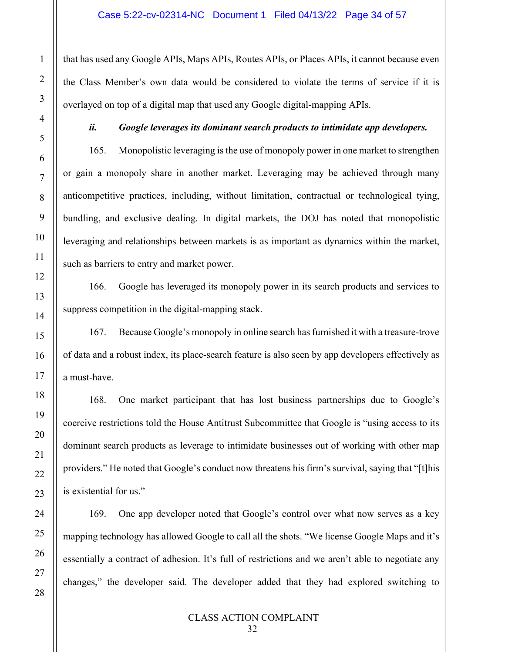that has used any Google APIs, Maps APIs, Routes APIs, or Places APIs, it cannot because even the Class Member's own data would be considered to violate the terms of service if it is overlayed on top of a digital map that used any Google digital-mapping APIs.

# *ii. Google leverages its dominant search products to intimidate app developers.*

165. Monopolistic leveraging is the use of monopoly power in one market to strengthen or gain a monopoly share in another market. Leveraging may be achieved through many anticompetitive practices, including, without limitation, contractual or technological tying, bundling, and exclusive dealing. In digital markets, the DOJ has noted that monopolistic leveraging and relationships between markets is as important as dynamics within the market, such as barriers to entry and market power.

166. Google has leveraged its monopoly power in its search products and services to suppress competition in the digital-mapping stack.

167. Because Google's monopoly in online search has furnished it with a treasure-trove of data and a robust index, its place-search feature is also seen by app developers effectively as a must-have.

168. One market participant that has lost business partnerships due to Google's coercive restrictions told the House Antitrust Subcommittee that Google is "using access to its dominant search products as leverage to intimidate businesses out of working with other map providers." He noted that Google's conduct now threatens his firm's survival, saying that "[t]his is existential for us."

169. One app developer noted that Google's control over what now serves as a key mapping technology has allowed Google to call all the shots. "We license Google Maps and it's essentially a contract of adhesion. It's full of restrictions and we aren't able to negotiate any changes," the developer said. The developer added that they had explored switching to

28

1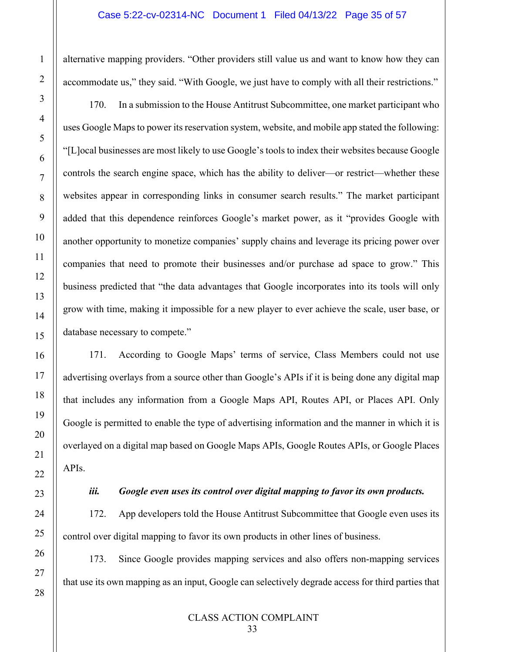alternative mapping providers. "Other providers still value us and want to know how they can accommodate us," they said. "With Google, we just have to comply with all their restrictions."

170. In a submission to the House Antitrust Subcommittee, one market participant who uses Google Maps to power its reservation system, website, and mobile app stated the following: "[L]ocal businesses are most likely to use Google's tools to index their websites because Google controls the search engine space, which has the ability to deliver—or restrict—whether these websites appear in corresponding links in consumer search results." The market participant added that this dependence reinforces Google's market power, as it "provides Google with another opportunity to monetize companies' supply chains and leverage its pricing power over companies that need to promote their businesses and/or purchase ad space to grow." This business predicted that "the data advantages that Google incorporates into its tools will only grow with time, making it impossible for a new player to ever achieve the scale, user base, or database necessary to compete."

171. According to Google Maps' terms of service, Class Members could not use advertising overlays from a source other than Google's APIs if it is being done any digital map that includes any information from a Google Maps API, Routes API, or Places API. Only Google is permitted to enable the type of advertising information and the manner in which it is overlayed on a digital map based on Google Maps APIs, Google Routes APIs, or Google Places APIs.

1

2

3

4

5

6

7

8

9

10

11

12

13

14

15

16

17

18

19

20

21

22

23

24

25

26

27

28

# *iii. Google even uses its control over digital mapping to favor its own products.*

172. App developers told the House Antitrust Subcommittee that Google even uses its control over digital mapping to favor its own products in other lines of business.

173. Since Google provides mapping services and also offers non-mapping services that use its own mapping as an input, Google can selectively degrade access for third parties that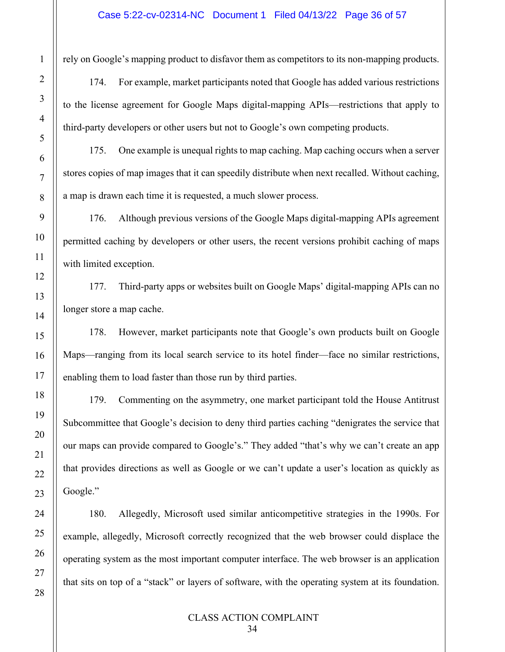rely on Google's mapping product to disfavor them as competitors to its non-mapping products.

174. For example, market participants noted that Google has added various restrictions to the license agreement for Google Maps digital-mapping APIs—restrictions that apply to third-party developers or other users but not to Google's own competing products.

175. One example is unequal rights to map caching. Map caching occurs when a server stores copies of map images that it can speedily distribute when next recalled. Without caching, a map is drawn each time it is requested, a much slower process.

176. Although previous versions of the Google Maps digital-mapping APIs agreement permitted caching by developers or other users, the recent versions prohibit caching of maps with limited exception.

177. Third-party apps or websites built on Google Maps' digital-mapping APIs can no longer store a map cache.

178. However, market participants note that Google's own products built on Google Maps—ranging from its local search service to its hotel finder—face no similar restrictions, enabling them to load faster than those run by third parties.

179. Commenting on the asymmetry, one market participant told the House Antitrust Subcommittee that Google's decision to deny third parties caching "denigrates the service that our maps can provide compared to Google's." They added "that's why we can't create an app that provides directions as well as Google or we can't update a user's location as quickly as Google."

180. Allegedly, Microsoft used similar anticompetitive strategies in the 1990s. For example, allegedly, Microsoft correctly recognized that the web browser could displace the operating system as the most important computer interface. The web browser is an application that sits on top of a "stack" or layers of software, with the operating system at its foundation.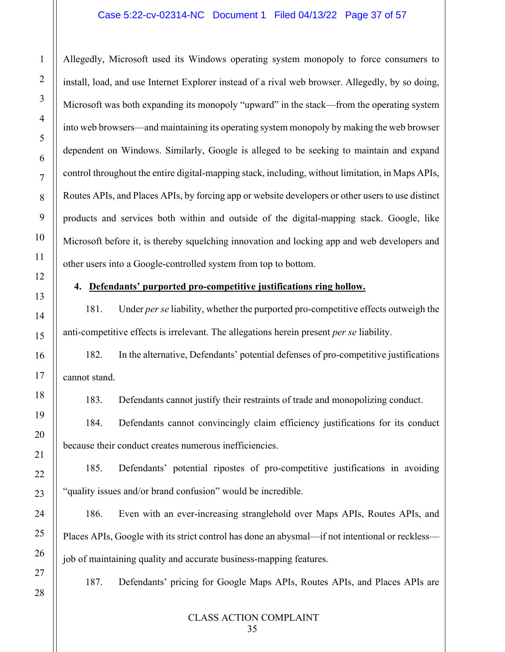#### Case 5:22-cv-02314-NC Document 1 Filed 04/13/22 Page 37 of 57

Allegedly, Microsoft used its Windows operating system monopoly to force consumers to install, load, and use Internet Explorer instead of a rival web browser. Allegedly, by so doing, Microsoft was both expanding its monopoly "upward" in the stack—from the operating system into web browsers—and maintaining its operating system monopoly by making the web browser dependent on Windows. Similarly, Google is alleged to be seeking to maintain and expand control throughout the entire digital-mapping stack, including, without limitation, in Maps APIs, Routes APIs, and Places APIs, by forcing app or website developers or other users to use distinct products and services both within and outside of the digital-mapping stack. Google, like Microsoft before it, is thereby squelching innovation and locking app and web developers and other users into a Google-controlled system from top to bottom.

#### **4. Defendants' purported pro-competitive justifications ring hollow.**

181. Under *per se* liability, whether the purported pro-competitive effects outweigh the anti-competitive effects is irrelevant. The allegations herein present *per se* liability.

182. In the alternative, Defendants' potential defenses of pro-competitive justifications cannot stand.

183. Defendants cannot justify their restraints of trade and monopolizing conduct.

184. Defendants cannot convincingly claim efficiency justifications for its conduct because their conduct creates numerous inefficiencies.

185. Defendants' potential ripostes of pro-competitive justifications in avoiding "quality issues and/or brand confusion" would be incredible.

186. Even with an ever-increasing stranglehold over Maps APIs, Routes APIs, and Places APIs, Google with its strict control has done an abysmal—if not intentional or reckless job of maintaining quality and accurate business-mapping features.

187. Defendants' pricing for Google Maps APIs, Routes APIs, and Places APIs are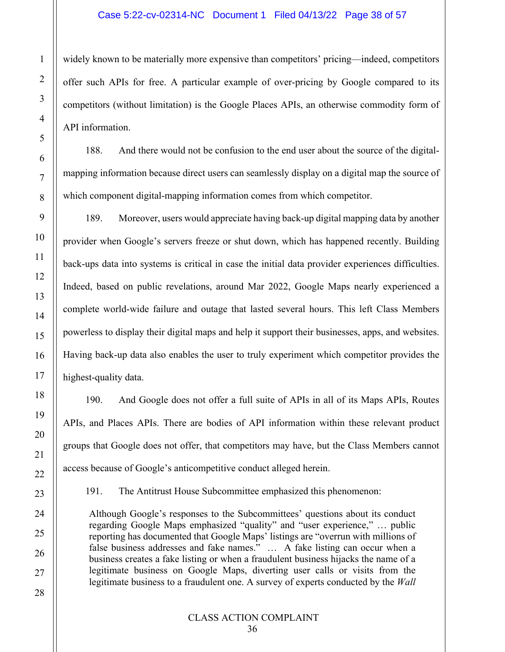#### Case 5:22-cv-02314-NC Document 1 Filed 04/13/22 Page 38 of 57

widely known to be materially more expensive than competitors' pricing—indeed, competitors offer such APIs for free. A particular example of over-pricing by Google compared to its competitors (without limitation) is the Google Places APIs, an otherwise commodity form of API information.

188. And there would not be confusion to the end user about the source of the digitalmapping information because direct users can seamlessly display on a digital map the source of which component digital-mapping information comes from which competitor.

189. Moreover, users would appreciate having back-up digital mapping data by another provider when Google's servers freeze or shut down, which has happened recently. Building back-ups data into systems is critical in case the initial data provider experiences difficulties. Indeed, based on public revelations, around Mar 2022, Google Maps nearly experienced a complete world-wide failure and outage that lasted several hours. This left Class Members powerless to display their digital maps and help it support their businesses, apps, and websites. Having back-up data also enables the user to truly experiment which competitor provides the highest-quality data.

190. And Google does not offer a full suite of APIs in all of its Maps APIs, Routes APIs, and Places APIs. There are bodies of API information within these relevant product groups that Google does not offer, that competitors may have, but the Class Members cannot access because of Google's anticompetitive conduct alleged herein.

191. The Antitrust House Subcommittee emphasized this phenomenon:

Although Google's responses to the Subcommittees' questions about its conduct regarding Google Maps emphasized "quality" and "user experience," … public reporting has documented that Google Maps' listings are "overrun with millions of false business addresses and fake names." ... A fake listing can occur when a business creates a fake listing or when a fraudulent business hijacks the name of a legitimate business on Google Maps, diverting user calls or visits from the legitimate business to a fraudulent one. A survey of experts conducted by the *Wall* 

1

2

3

4

5

6

7

8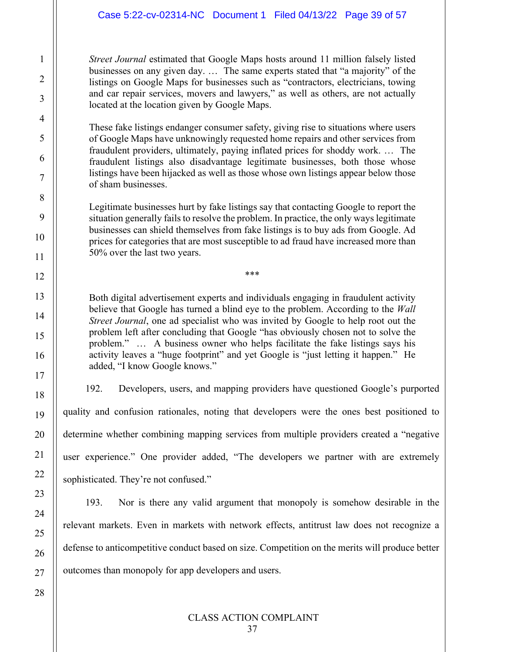*Street Journal* estimated that Google Maps hosts around 11 million falsely listed businesses on any given day. … The same experts stated that "a majority" of the listings on Google Maps for businesses such as "contractors, electricians, towing and car repair services, movers and lawyers," as well as others, are not actually located at the location given by Google Maps.

1

2

3

4

5

6

7

8

9

10

11

12

13

14

15

16

17

18

19

20

21

22

23

24

25

26

27

28

These fake listings endanger consumer safety, giving rise to situations where users of Google Maps have unknowingly requested home repairs and other services from fraudulent providers, ultimately, paying inflated prices for shoddy work. … The fraudulent listings also disadvantage legitimate businesses, both those whose listings have been hijacked as well as those whose own listings appear below those of sham businesses.

Legitimate businesses hurt by fake listings say that contacting Google to report the situation generally fails to resolve the problem. In practice, the only ways legitimate businesses can shield themselves from fake listings is to buy ads from Google. Ad prices for categories that are most susceptible to ad fraud have increased more than 50% over the last two years.

\*\*\*

Both digital advertisement experts and individuals engaging in fraudulent activity believe that Google has turned a blind eye to the problem. According to the *Wall Street Journal*, one ad specialist who was invited by Google to help root out the problem left after concluding that Google "has obviously chosen not to solve the problem." … A business owner who helps facilitate the fake listings says his activity leaves a "huge footprint" and yet Google is "just letting it happen." He added, "I know Google knows."

192. Developers, users, and mapping providers have questioned Google's purported quality and confusion rationales, noting that developers were the ones best positioned to determine whether combining mapping services from multiple providers created a "negative user experience." One provider added, "The developers we partner with are extremely sophisticated. They're not confused."

193. Nor is there any valid argument that monopoly is somehow desirable in the relevant markets. Even in markets with network effects, antitrust law does not recognize a defense to anticompetitive conduct based on size. Competition on the merits will produce better outcomes than monopoly for app developers and users.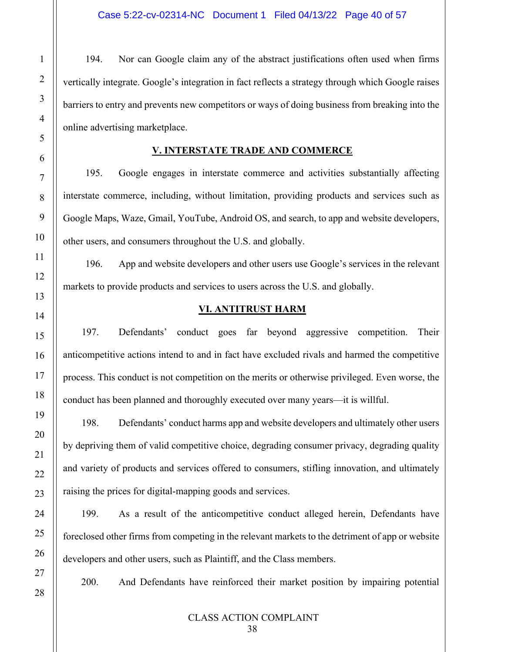194. Nor can Google claim any of the abstract justifications often used when firms vertically integrate. Google's integration in fact reflects a strategy through which Google raises barriers to entry and prevents new competitors or ways of doing business from breaking into the online advertising marketplace.

#### **V. INTERSTATE TRADE AND COMMERCE**

195. Google engages in interstate commerce and activities substantially affecting interstate commerce, including, without limitation, providing products and services such as Google Maps, Waze, Gmail, YouTube, Android OS, and search, to app and website developers, other users, and consumers throughout the U.S. and globally.

196. App and website developers and other users use Google's services in the relevant markets to provide products and services to users across the U.S. and globally.

#### **VI. ANTITRUST HARM**

197. Defendants' conduct goes far beyond aggressive competition. Their anticompetitive actions intend to and in fact have excluded rivals and harmed the competitive process. This conduct is not competition on the merits or otherwise privileged. Even worse, the conduct has been planned and thoroughly executed over many years—it is willful.

198. Defendants' conduct harms app and website developers and ultimately other users by depriving them of valid competitive choice, degrading consumer privacy, degrading quality and variety of products and services offered to consumers, stifling innovation, and ultimately raising the prices for digital-mapping goods and services.

199. As a result of the anticompetitive conduct alleged herein, Defendants have foreclosed other firms from competing in the relevant markets to the detriment of app or website developers and other users, such as Plaintiff, and the Class members.

1

2

3

4

<span id="page-39-0"></span>5

6

7

8

9

10

11

12

13

<span id="page-39-1"></span>14

15

16

17

18

19

20

21

22

23

24

25

26

27

28

200. And Defendants have reinforced their market position by impairing potential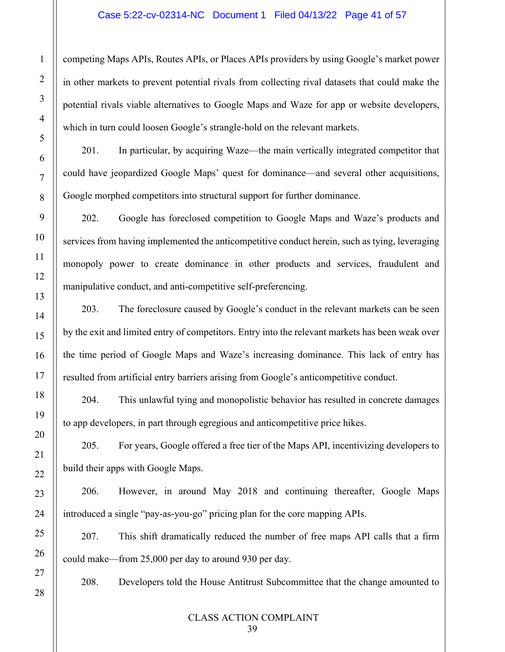#### Case 5:22-cv-02314-NC Document 1 Filed 04/13/22 Page 41 of 57

competing Maps APIs, Routes APIs, or Places APIs providers by using Google's market power in other markets to prevent potential rivals from collecting rival datasets that could make the potential rivals viable alternatives to Google Maps and Waze for app or website developers, which in turn could loosen Google's strangle-hold on the relevant markets.

201. In particular, by acquiring Waze—the main vertically integrated competitor that could have jeopardized Google Maps' quest for dominance—and several other acquisitions, Google morphed competitors into structural support for further dominance.

202. Google has foreclosed competition to Google Maps and Waze's products and services from having implemented the anticompetitive conduct herein, such as tying, leveraging monopoly power to create dominance in other products and services, fraudulent and manipulative conduct, and anti-competitive self-preferencing.

203. The foreclosure caused by Google's conduct in the relevant markets can be seen by the exit and limited entry of competitors. Entry into the relevant markets has been weak over the time period of Google Maps and Waze's increasing dominance. This lack of entry has resulted from artificial entry barriers arising from Google's anticompetitive conduct.

204. This unlawful tying and monopolistic behavior has resulted in concrete damages to app developers, in part through egregious and anticompetitive price hikes.

205. For years, Google offered a free tier of the Maps API, incentivizing developers to build their apps with Google Maps.

206. However, in around May 2018 and continuing thereafter, Google Maps introduced a single "pay-as-you-go" pricing plan for the core mapping APIs.

207. This shift dramatically reduced the number of free maps API calls that a firm could make—from 25,000 per day to around 930 per day.

208. Developers told the House Antitrust Subcommittee that the change amounted to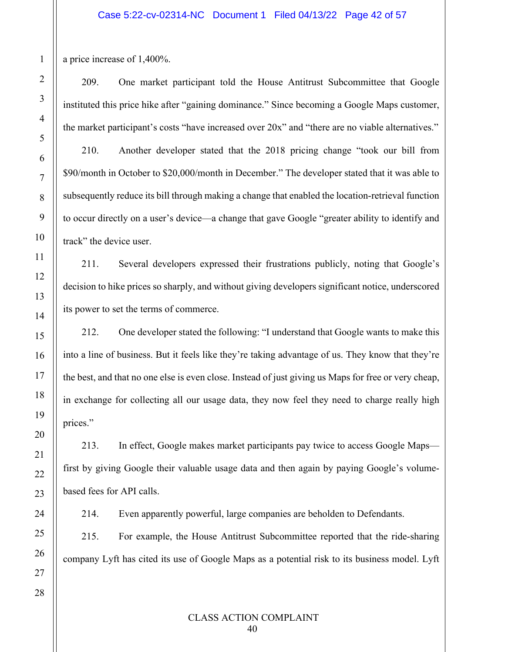a price increase of 1,400%.

209. One market participant told the House Antitrust Subcommittee that Google instituted this price hike after "gaining dominance." Since becoming a Google Maps customer, the market participant's costs "have increased over 20x" and "there are no viable alternatives." 210. Another developer stated that the 2018 pricing change "took our bill from \$90/month in October to \$20,000/month in December." The developer stated that it was able to subsequently reduce its bill through making a change that enabled the location-retrieval function to occur directly on a user's device—a change that gave Google "greater ability to identify and track" the device user.

211. Several developers expressed their frustrations publicly, noting that Google's decision to hike prices so sharply, and without giving developers significant notice, underscored its power to set the terms of commerce.

212. One developer stated the following: "I understand that Google wants to make this into a line of business. But it feels like they're taking advantage of us. They know that they're the best, and that no one else is even close. Instead of just giving us Maps for free or very cheap, in exchange for collecting all our usage data, they now feel they need to charge really high prices."

213. In effect, Google makes market participants pay twice to access Google Maps first by giving Google their valuable usage data and then again by paying Google's volumebased fees for API calls.

214. Even apparently powerful, large companies are beholden to Defendants.

215. For example, the House Antitrust Subcommittee reported that the ride-sharing company Lyft has cited its use of Google Maps as a potential risk to its business model. Lyft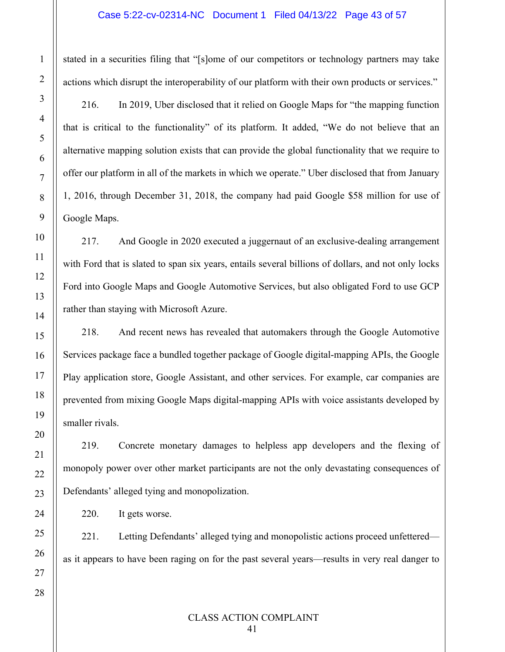stated in a securities filing that "[s]ome of our competitors or technology partners may take actions which disrupt the interoperability of our platform with their own products or services."

216. In 2019, Uber disclosed that it relied on Google Maps for "the mapping function that is critical to the functionality" of its platform. It added, "We do not believe that an alternative mapping solution exists that can provide the global functionality that we require to offer our platform in all of the markets in which we operate." Uber disclosed that from January 1, 2016, through December 31, 2018, the company had paid Google \$58 million for use of Google Maps.

217. And Google in 2020 executed a juggernaut of an exclusive-dealing arrangement with Ford that is slated to span six years, entails several billions of dollars, and not only locks Ford into Google Maps and Google Automotive Services, but also obligated Ford to use GCP rather than staying with Microsoft Azure.

218. And recent news has revealed that automakers through the Google Automotive Services package face a bundled together package of Google digital-mapping APIs, the Google Play application store, Google Assistant, and other services. For example, car companies are prevented from mixing Google Maps digital-mapping APIs with voice assistants developed by smaller rivals.

219. Concrete monetary damages to helpless app developers and the flexing of monopoly power over other market participants are not the only devastating consequences of Defendants' alleged tying and monopolization.

220. It gets worse.

221. Letting Defendants' alleged tying and monopolistic actions proceed unfettered as it appears to have been raging on for the past several years—results in very real danger to

1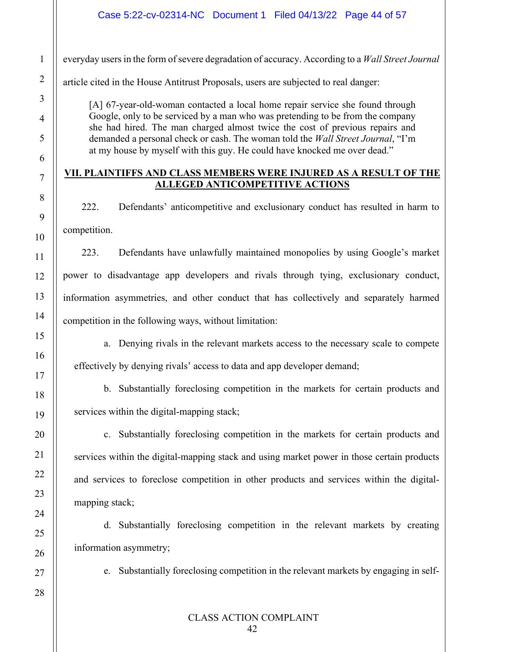everyday users in the form of severe degradation of accuracy. According to a *Wall Street Journal* 

article cited in the House Antitrust Proposals, users are subjected to real danger:

[A] 67-year-old-woman contacted a local home repair service she found through Google, only to be serviced by a man who was pretending to be from the company she had hired. The man charged almost twice the cost of previous repairs and demanded a personal check or cash. The woman told the *Wall Street Journal*, "I'm at my house by myself with this guy. He could have knocked me over dead."

# <span id="page-43-0"></span>**VII. PLAINTIFFS AND CLASS MEMBERS WERE INJURED AS A RESULT OF THE ALLEGED ANTICOMPETITIVE ACTIONS**

222. Defendants' anticompetitive and exclusionary conduct has resulted in harm to competition.

223. Defendants have unlawfully maintained monopolies by using Google's market power to disadvantage app developers and rivals through tying, exclusionary conduct, information asymmetries, and other conduct that has collectively and separately harmed competition in the following ways, without limitation:

a. Denying rivals in the relevant markets access to the necessary scale to compete effectively by denying rivals' access to data and app developer demand;

b. Substantially foreclosing competition in the markets for certain products and services within the digital-mapping stack;

c. Substantially foreclosing competition in the markets for certain products and services within the digital-mapping stack and using market power in those certain products and services to foreclose competition in other products and services within the digitalmapping stack;

d. Substantially foreclosing competition in the relevant markets by creating information asymmetry;

e. Substantially foreclosing competition in the relevant markets by engaging in self-

27 28

1

2

3

4

5

6

7

8

9

10

11

12

13

14

15

16

17

18

19

20

21

22

23

24

25

26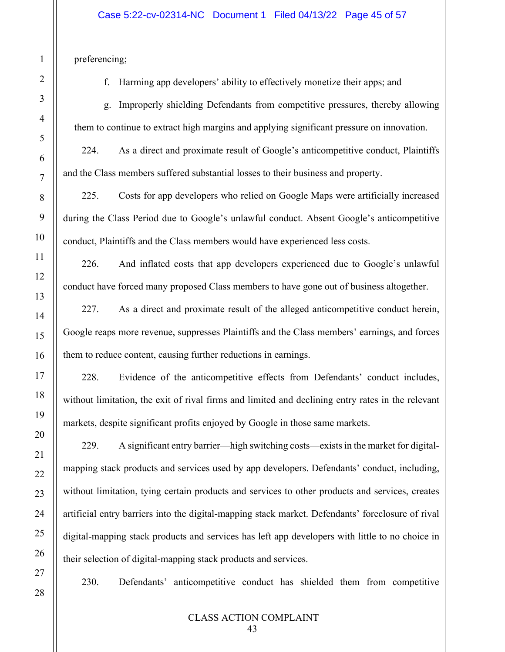preferencing;

f. Harming app developers' ability to effectively monetize their apps; and

g. Improperly shielding Defendants from competitive pressures, thereby allowing them to continue to extract high margins and applying significant pressure on innovation.

224. As a direct and proximate result of Google's anticompetitive conduct, Plaintiffs and the Class members suffered substantial losses to their business and property.

225. Costs for app developers who relied on Google Maps were artificially increased during the Class Period due to Google's unlawful conduct. Absent Google's anticompetitive conduct, Plaintiffs and the Class members would have experienced less costs.

226. And inflated costs that app developers experienced due to Google's unlawful conduct have forced many proposed Class members to have gone out of business altogether.

227. As a direct and proximate result of the alleged anticompetitive conduct herein, Google reaps more revenue, suppresses Plaintiffs and the Class members' earnings, and forces them to reduce content, causing further reductions in earnings.

228. Evidence of the anticompetitive effects from Defendants' conduct includes, without limitation, the exit of rival firms and limited and declining entry rates in the relevant markets, despite significant profits enjoyed by Google in those same markets.

229. A significant entry barrier—high switching costs—exists in the market for digitalmapping stack products and services used by app developers. Defendants' conduct, including, without limitation, tying certain products and services to other products and services, creates artificial entry barriers into the digital-mapping stack market. Defendants' foreclosure of rival digital-mapping stack products and services has left app developers with little to no choice in their selection of digital-mapping stack products and services.

230. Defendants' anticompetitive conduct has shielded them from competitive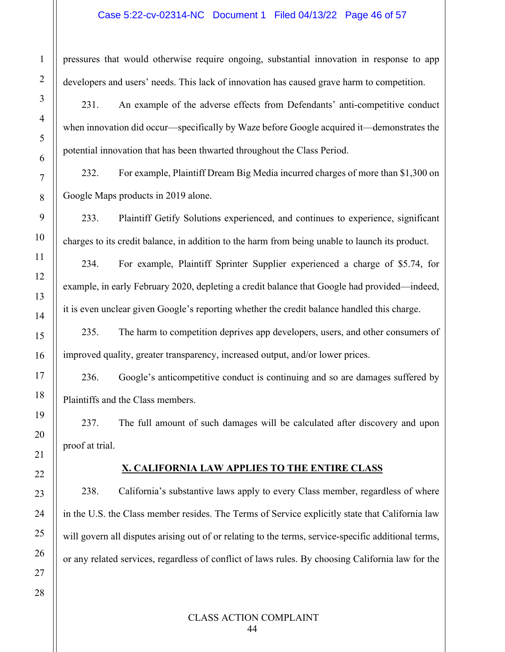#### Case 5:22-cv-02314-NC Document 1 Filed 04/13/22 Page 46 of 57

pressures that would otherwise require ongoing, substantial innovation in response to app developers and users' needs. This lack of innovation has caused grave harm to competition.

231. An example of the adverse effects from Defendants' anti-competitive conduct when innovation did occur—specifically by Waze before Google acquired it—demonstrates the potential innovation that has been thwarted throughout the Class Period.

232. For example, Plaintiff Dream Big Media incurred charges of more than \$1,300 on Google Maps products in 2019 alone.

233. Plaintiff Getify Solutions experienced, and continues to experience, significant charges to its credit balance, in addition to the harm from being unable to launch its product.

234. For example, Plaintiff Sprinter Supplier experienced a charge of \$5.74, for example, in early February 2020, depleting a credit balance that Google had provided—indeed, it is even unclear given Google's reporting whether the credit balance handled this charge.

235. The harm to competition deprives app developers, users, and other consumers of improved quality, greater transparency, increased output, and/or lower prices.

236. Google's anticompetitive conduct is continuing and so are damages suffered by Plaintiffs and the Class members.

237. The full amount of such damages will be calculated after discovery and upon proof at trial.

## **X. CALIFORNIA LAW APPLIES TO THE ENTIRE CLASS**

<span id="page-45-0"></span>238. California's substantive laws apply to every Class member, regardless of where in the U.S. the Class member resides. The Terms of Service explicitly state that California law will govern all disputes arising out of or relating to the terms, service-specific additional terms, or any related services, regardless of conflict of laws rules. By choosing California law for the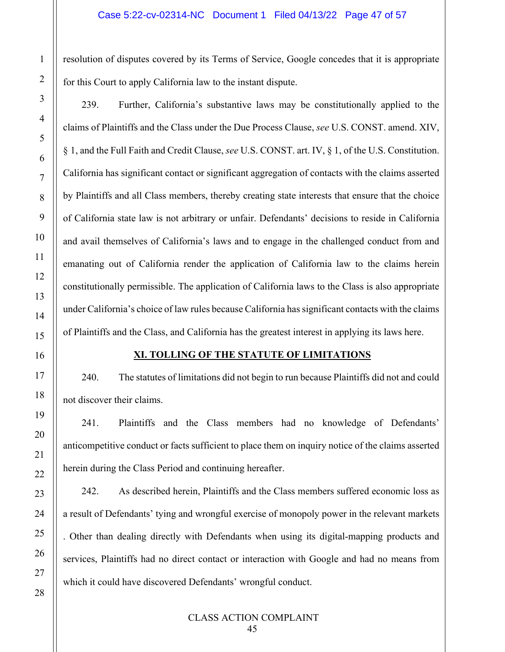resolution of disputes covered by its Terms of Service, Google concedes that it is appropriate for this Court to apply California law to the instant dispute.

239. Further, California's substantive laws may be constitutionally applied to the claims of Plaintiffs and the Class under the Due Process Clause, *see* U.S. CONST. amend. XIV, § 1, and the Full Faith and Credit Clause, *see* U.S. CONST. art. IV, § 1, of the U.S. Constitution. California has significant contact or significant aggregation of contacts with the claims asserted by Plaintiffs and all Class members, thereby creating state interests that ensure that the choice of California state law is not arbitrary or unfair. Defendants' decisions to reside in California and avail themselves of California's laws and to engage in the challenged conduct from and emanating out of California render the application of California law to the claims herein constitutionally permissible. The application of California laws to the Class is also appropriate under California's choice of law rules because California has significant contacts with the claims of Plaintiffs and the Class, and California has the greatest interest in applying its laws here.

#### **XI. TOLLING OF THE STATUTE OF LIMITATIONS**

<span id="page-46-0"></span>240. The statutes of limitations did not begin to run because Plaintiffs did not and could not discover their claims.

241. Plaintiffs and the Class members had no knowledge of Defendants' anticompetitive conduct or facts sufficient to place them on inquiry notice of the claims asserted herein during the Class Period and continuing hereafter.

242. As described herein, Plaintiffs and the Class members suffered economic loss as a result of Defendants' tying and wrongful exercise of monopoly power in the relevant markets . Other than dealing directly with Defendants when using its digital-mapping products and services, Plaintiffs had no direct contact or interaction with Google and had no means from which it could have discovered Defendants' wrongful conduct.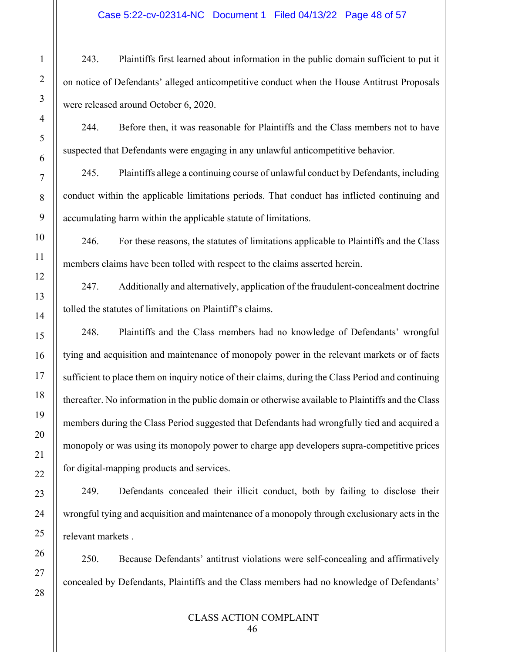#### Case 5:22-cv-02314-NC Document 1 Filed 04/13/22 Page 48 of 57

243. Plaintiffs first learned about information in the public domain sufficient to put it on notice of Defendants' alleged anticompetitive conduct when the House Antitrust Proposals were released around October 6, 2020.

1

2

3

4

5

6

7

8

9

10

11

12

13

14

15

16

17

18

19

20

21

22

23

24

25

26

27

28

244. Before then, it was reasonable for Plaintiffs and the Class members not to have suspected that Defendants were engaging in any unlawful anticompetitive behavior.

245. Plaintiffs allege a continuing course of unlawful conduct by Defendants, including conduct within the applicable limitations periods. That conduct has inflicted continuing and accumulating harm within the applicable statute of limitations.

246. For these reasons, the statutes of limitations applicable to Plaintiffs and the Class members claims have been tolled with respect to the claims asserted herein.

247. Additionally and alternatively, application of the fraudulent-concealment doctrine tolled the statutes of limitations on Plaintiff's claims.

248. Plaintiffs and the Class members had no knowledge of Defendants' wrongful tying and acquisition and maintenance of monopoly power in the relevant markets or of facts sufficient to place them on inquiry notice of their claims, during the Class Period and continuing thereafter. No information in the public domain or otherwise available to Plaintiffs and the Class members during the Class Period suggested that Defendants had wrongfully tied and acquired a monopoly or was using its monopoly power to charge app developers supra-competitive prices for digital-mapping products and services.

249. Defendants concealed their illicit conduct, both by failing to disclose their wrongful tying and acquisition and maintenance of a monopoly through exclusionary acts in the relevant markets .

250. Because Defendants' antitrust violations were self-concealing and affirmatively concealed by Defendants, Plaintiffs and the Class members had no knowledge of Defendants'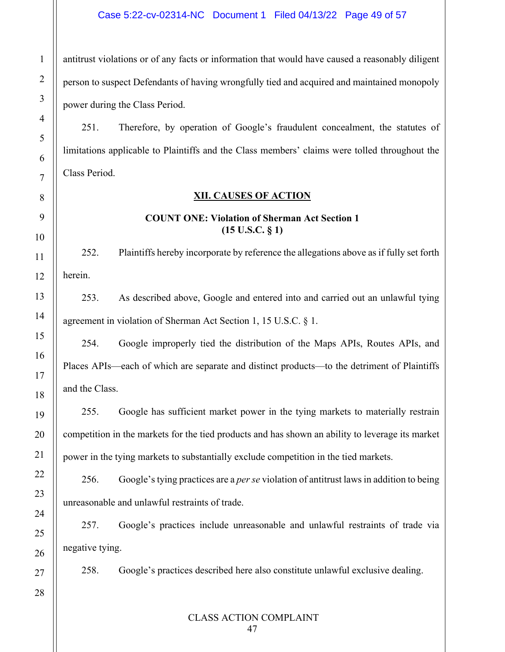## Case 5:22-cv-02314-NC Document 1 Filed 04/13/22 Page 49 of 57

antitrust violations or of any facts or information that would have caused a reasonably diligent person to suspect Defendants of having wrongfully tied and acquired and maintained monopoly power during the Class Period.

251. Therefore, by operation of Google's fraudulent concealment, the statutes of limitations applicable to Plaintiffs and the Class members' claims were tolled throughout the Class Period.

#### **XII. CAUSES OF ACTION**

#### **COUNT ONE: Violation of Sherman Act Section 1 (15 U.S.C. § 1)**

252. Plaintiffs hereby incorporate by reference the allegations above as if fully set forth herein.

253. As described above, Google and entered into and carried out an unlawful tying agreement in violation of Sherman Act Section 1, 15 U.S.C. § 1.

254. Google improperly tied the distribution of the Maps APIs, Routes APIs, and Places APIs—each of which are separate and distinct products—to the detriment of Plaintiffs and the Class.

255. Google has sufficient market power in the tying markets to materially restrain competition in the markets for the tied products and has shown an ability to leverage its market power in the tying markets to substantially exclude competition in the tied markets.

256. Google's tying practices are a *per se* violation of antitrust laws in addition to being unreasonable and unlawful restraints of trade.

257. Google's practices include unreasonable and unlawful restraints of trade via negative tying.

258. Google's practices described here also constitute unlawful exclusive dealing.

28

1

2

3

4

5

6

7

<span id="page-48-0"></span>8

9

10

11

12

13

14

15

16

17

18

19

20

21

22

23

24

25

26

27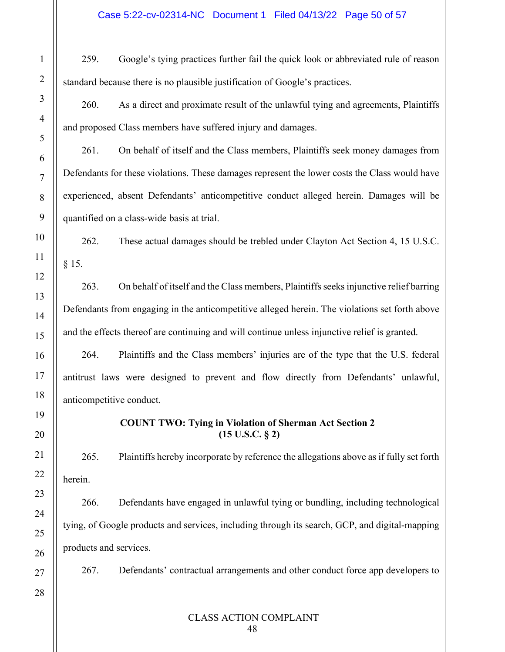259. Google's tying practices further fail the quick look or abbreviated rule of reason standard because there is no plausible justification of Google's practices.

260. As a direct and proximate result of the unlawful tying and agreements, Plaintiffs and proposed Class members have suffered injury and damages.

261. On behalf of itself and the Class members, Plaintiffs seek money damages from Defendants for these violations. These damages represent the lower costs the Class would have experienced, absent Defendants' anticompetitive conduct alleged herein. Damages will be quantified on a class-wide basis at trial.

262. These actual damages should be trebled under Clayton Act Section 4, 15 U.S.C. § 15.

263. On behalf of itself and the Class members, Plaintiffs seeks injunctive relief barring Defendants from engaging in the anticompetitive alleged herein. The violations set forth above and the effects thereof are continuing and will continue unless injunctive relief is granted.

264. Plaintiffs and the Class members' injuries are of the type that the U.S. federal antitrust laws were designed to prevent and flow directly from Defendants' unlawful, anticompetitive conduct.

# **COUNT TWO: Tying in Violation of Sherman Act Section 2 (15 U.S.C. § 2)**

265. Plaintiffs hereby incorporate by reference the allegations above as if fully set forth herein.

266. Defendants have engaged in unlawful tying or bundling, including technological tying, of Google products and services, including through its search, GCP, and digital-mapping products and services.

267. Defendants' contractual arrangements and other conduct force app developers to

27 28

1

2

3

4

5

6

7

8

9

10

11

12

13

14

15

16

17

18

19

20

21

22

23

24

25

26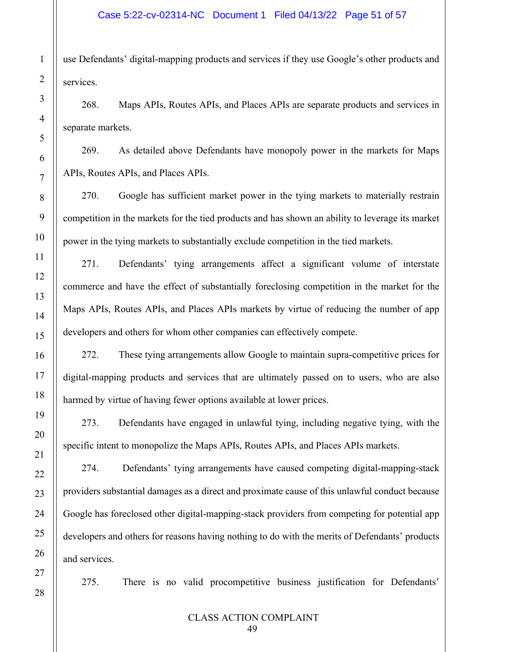use Defendants' digital-mapping products and services if they use Google's other products and services.

268. Maps APIs, Routes APIs, and Places APIs are separate products and services in separate markets.

269. As detailed above Defendants have monopoly power in the markets for Maps APIs, Routes APIs, and Places APIs.

270. Google has sufficient market power in the tying markets to materially restrain competition in the markets for the tied products and has shown an ability to leverage its market power in the tying markets to substantially exclude competition in the tied markets.

271. Defendants' tying arrangements affect a significant volume of interstate commerce and have the effect of substantially foreclosing competition in the market for the Maps APIs, Routes APIs, and Places APIs markets by virtue of reducing the number of app developers and others for whom other companies can effectively compete.

272. These tying arrangements allow Google to maintain supra-competitive prices for digital-mapping products and services that are ultimately passed on to users, who are also harmed by virtue of having fewer options available at lower prices.

273. Defendants have engaged in unlawful tying, including negative tying, with the specific intent to monopolize the Maps APIs, Routes APIs, and Places APIs markets.

274. Defendants' tying arrangements have caused competing digital-mapping-stack providers substantial damages as a direct and proximate cause of this unlawful conduct because Google has foreclosed other digital-mapping-stack providers from competing for potential app developers and others for reasons having nothing to do with the merits of Defendants' products and services.

275. There is no valid procompetitive business justification for Defendants'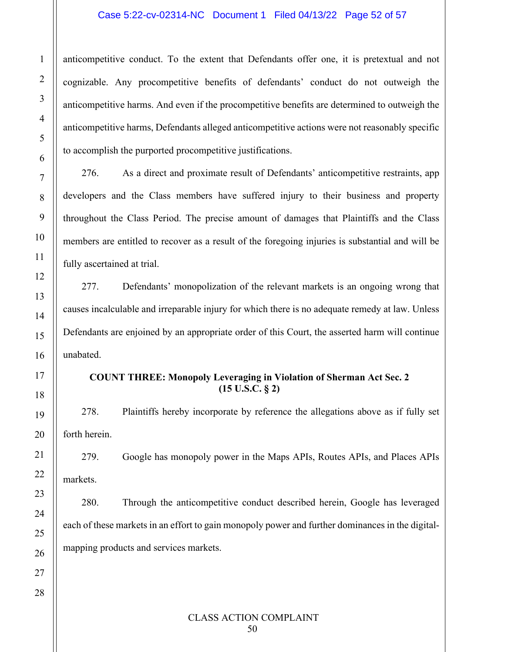#### Case 5:22-cv-02314-NC Document 1 Filed 04/13/22 Page 52 of 57

anticompetitive conduct. To the extent that Defendants offer one, it is pretextual and not cognizable. Any procompetitive benefits of defendants' conduct do not outweigh the anticompetitive harms. And even if the procompetitive benefits are determined to outweigh the anticompetitive harms, Defendants alleged anticompetitive actions were not reasonably specific to accomplish the purported procompetitive justifications.

276. As a direct and proximate result of Defendants' anticompetitive restraints, app developers and the Class members have suffered injury to their business and property throughout the Class Period. The precise amount of damages that Plaintiffs and the Class members are entitled to recover as a result of the foregoing injuries is substantial and will be fully ascertained at trial.

277. Defendants' monopolization of the relevant markets is an ongoing wrong that causes incalculable and irreparable injury for which there is no adequate remedy at law. Unless Defendants are enjoined by an appropriate order of this Court, the asserted harm will continue unabated.

# **COUNT THREE: Monopoly Leveraging in Violation of Sherman Act Sec. 2 (15 U.S.C. § 2)**

278. Plaintiffs hereby incorporate by reference the allegations above as if fully set forth herein.

279. Google has monopoly power in the Maps APIs, Routes APIs, and Places APIs markets.

280. Through the anticompetitive conduct described herein, Google has leveraged each of these markets in an effort to gain monopoly power and further dominances in the digitalmapping products and services markets.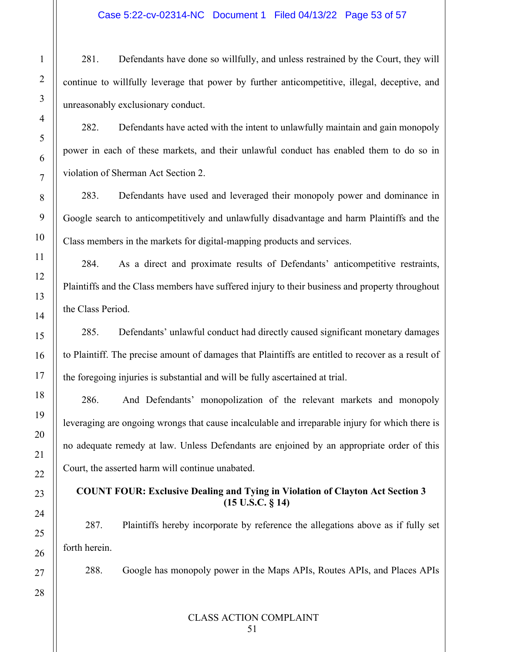281. Defendants have done so willfully, and unless restrained by the Court, they will continue to willfully leverage that power by further anticompetitive, illegal, deceptive, and unreasonably exclusionary conduct.

282. Defendants have acted with the intent to unlawfully maintain and gain monopoly power in each of these markets, and their unlawful conduct has enabled them to do so in violation of Sherman Act Section 2.

283. Defendants have used and leveraged their monopoly power and dominance in Google search to anticompetitively and unlawfully disadvantage and harm Plaintiffs and the Class members in the markets for digital-mapping products and services.

284. As a direct and proximate results of Defendants' anticompetitive restraints, Plaintiffs and the Class members have suffered injury to their business and property throughout the Class Period.

285. Defendants' unlawful conduct had directly caused significant monetary damages to Plaintiff. The precise amount of damages that Plaintiffs are entitled to recover as a result of the foregoing injuries is substantial and will be fully ascertained at trial.

286. And Defendants' monopolization of the relevant markets and monopoly leveraging are ongoing wrongs that cause incalculable and irreparable injury for which there is no adequate remedy at law. Unless Defendants are enjoined by an appropriate order of this Court, the asserted harm will continue unabated.

# **COUNT FOUR: Exclusive Dealing and Tying in Violation of Clayton Act Section 3 (15 U.S.C. § 14)**

287. Plaintiffs hereby incorporate by reference the allegations above as if fully set forth herein.

288. Google has monopoly power in the Maps APIs, Routes APIs, and Places APIs

1

2

3

4

5

6

7

8

9

10

11

12

13

14

15

16

17

18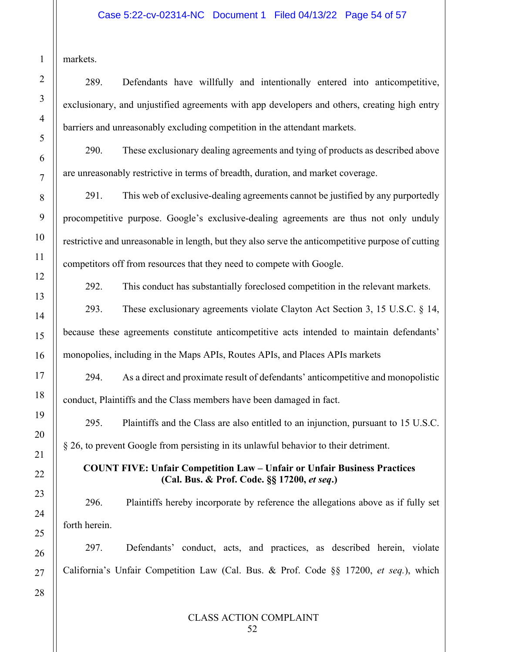markets.

1

2

3

4

5

6

7

289. Defendants have willfully and intentionally entered into anticompetitive, exclusionary, and unjustified agreements with app developers and others, creating high entry barriers and unreasonably excluding competition in the attendant markets.

290. These exclusionary dealing agreements and tying of products as described above are unreasonably restrictive in terms of breadth, duration, and market coverage.

291. This web of exclusive-dealing agreements cannot be justified by any purportedly procompetitive purpose. Google's exclusive-dealing agreements are thus not only unduly restrictive and unreasonable in length, but they also serve the anticompetitive purpose of cutting competitors off from resources that they need to compete with Google.

292. This conduct has substantially foreclosed competition in the relevant markets.

293. These exclusionary agreements violate Clayton Act Section 3, 15 U.S.C. § 14, because these agreements constitute anticompetitive acts intended to maintain defendants' monopolies, including in the Maps APIs, Routes APIs, and Places APIs markets

294. As a direct and proximate result of defendants' anticompetitive and monopolistic conduct, Plaintiffs and the Class members have been damaged in fact.

295. Plaintiffs and the Class are also entitled to an injunction, pursuant to 15 U.S.C. § 26, to prevent Google from persisting in its unlawful behavior to their detriment.

# **COUNT FIVE: Unfair Competition Law – Unfair or Unfair Business Practices (Cal. Bus. & Prof. Code. §§ 17200,** *et seq***.)**

296. Plaintiffs hereby incorporate by reference the allegations above as if fully set forth herein.

297. Defendants' conduct, acts, and practices, as described herein, violate California's Unfair Competition Law (Cal. Bus. & Prof. Code §§ 17200, *et seq.*), which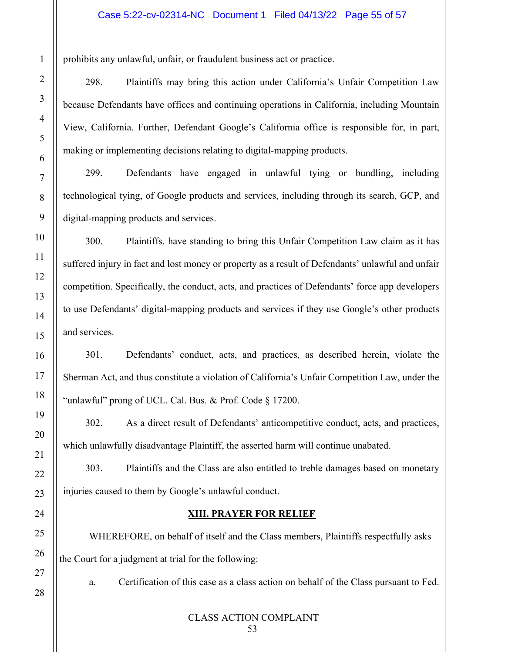prohibits any unlawful, unfair, or fraudulent business act or practice.

298. Plaintiffs may bring this action under California's Unfair Competition Law because Defendants have offices and continuing operations in California, including Mountain View, California. Further, Defendant Google's California office is responsible for, in part, making or implementing decisions relating to digital-mapping products.

299. Defendants have engaged in unlawful tying or bundling, including technological tying, of Google products and services, including through its search, GCP, and digital-mapping products and services.

300. Plaintiffs. have standing to bring this Unfair Competition Law claim as it has suffered injury in fact and lost money or property as a result of Defendants' unlawful and unfair competition. Specifically, the conduct, acts, and practices of Defendants' force app developers to use Defendants' digital-mapping products and services if they use Google's other products and services.

301. Defendants' conduct, acts, and practices, as described herein, violate the Sherman Act, and thus constitute a violation of California's Unfair Competition Law, under the "unlawful" prong of UCL. Cal. Bus. & Prof. Code § 17200.

302. As a direct result of Defendants' anticompetitive conduct, acts, and practices, which unlawfully disadvantage Plaintiff, the asserted harm will continue unabated.

303. Plaintiffs and the Class are also entitled to treble damages based on monetary injuries caused to them by Google's unlawful conduct.

#### **XIII. PRAYER FOR RELIEF**

<span id="page-54-0"></span>WHEREFORE, on behalf of itself and the Class members, Plaintiffs respectfully asks the Court for a judgment at trial for the following:

a. Certification of this case as a class action on behalf of the Class pursuant to Fed.

28

1

2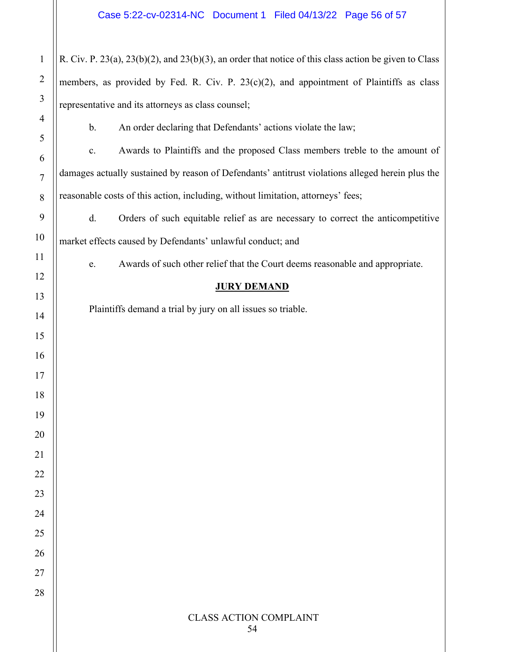R. Civ. P. 23(a), 23(b)(2), and 23(b)(3), an order that notice of this class action be given to Class members, as provided by Fed. R. Civ. P.  $23(c)(2)$ , and appointment of Plaintiffs as class representative and its attorneys as class counsel;

b. An order declaring that Defendants' actions violate the law;

c. Awards to Plaintiffs and the proposed Class members treble to the amount of damages actually sustained by reason of Defendants' antitrust violations alleged herein plus the reasonable costs of this action, including, without limitation, attorneys' fees;

d. Orders of such equitable relief as are necessary to correct the anticompetitive market effects caused by Defendants' unlawful conduct; and

e. Awards of such other relief that the Court deems reasonable and appropriate.

# **JURY DEMAND**

Plaintiffs demand a trial by jury on all issues so triable.